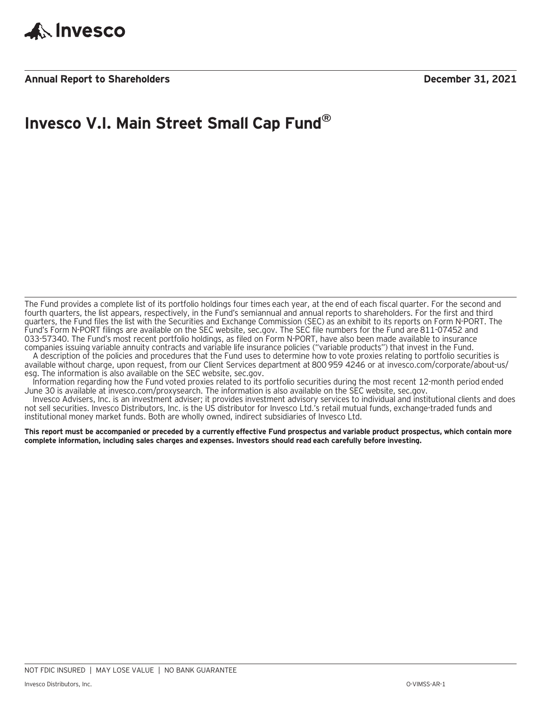

**Annual Report to Shareholders December 31, 2021**

### **Invesco V.I. Main Street Small Cap Fund®**

The Fund provides a complete list of its portfolio holdings four times each year, at the end of each fiscal quarter. For the second and fourth quarters, the list appears, respectively, in the Fund's semiannual and annual reports to shareholders. For the first and third quarters, the Fund files the list with the Securities and Exchange Commission (SEC) as an exhibit to its reports on Form N-PORT. The Fund's Form N-PORT filings are available on the SEC website, sec.gov. The SEC file numbers for the Fund are 811-07452 and 033-57340. The Fund's most recent portfolio holdings, as filed on Form N-PORT, have also been made available to insurance companies issuing variable annuity contracts and variable life insurance policies ("variable products") that invest in the Fund.

A description of the policies and procedures that the Fund uses to determine how to vote proxies relating to portfolio securities is available without charge, upon request, from our Client Services department at 800 959 4246 or at invesco.com/corporate/about-us/ esg. The information is also available on the SEC website, sec.gov.

Information regarding how the Fund voted proxies related to its portfolio securities during the most recent 12-month period ended June 30 is available at invesco.com/proxysearch. The information is also available on the SEC website, sec.gov.

Invesco Advisers, Inc. is an investment adviser; it provides investment advisory services to individual and institutional clients and does not sell securities. Invesco Distributors, Inc. is the US distributor for Invesco Ltd.'s retail mutual funds, exchange-traded funds and institutional money market funds. Both are wholly owned, indirect subsidiaries of Invesco Ltd.

**This report must be accompanied or preceded by a currently effective Fund prospectus and variable product prospectus, which contain more complete information, including sales charges and expenses. Investors should read each carefully before investing.**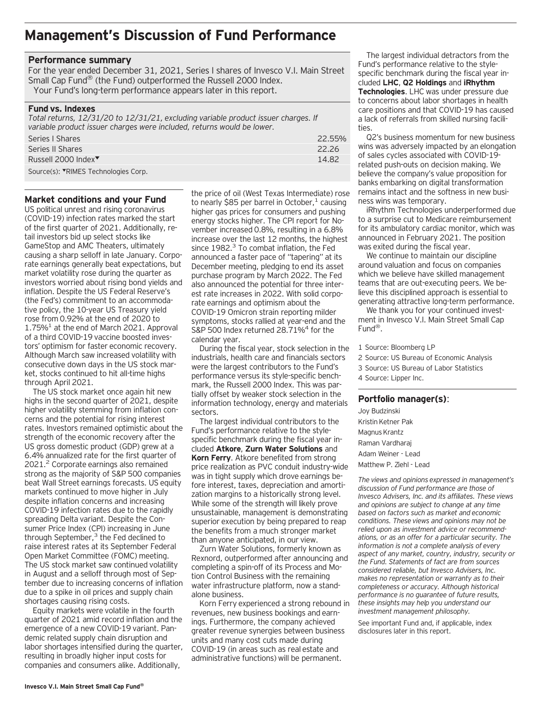### **Management's Discussion of Fund Performance**

#### **Performance summary**

For the year ended December 31, 2021, Series I shares of Invesco V.I. Main Street Small Cap Fund® (the Fund) outperformed the Russell 2000 Index. Your Fund's long-term performance appears later in this report.

#### **Fund vs. Indexes**

*Total returns, 12/31/20 to 12/31/21, excluding variable product issuer charges. If variable product issuer charges were included, returns would be lower.* Series I Shares 22.55%

| <b>UCTICJ I UITUL CJ</b>                    | <b>LL.JJ/V</b> |
|---------------------------------------------|----------------|
| Series II Shares                            | 22.26          |
| Russell 2000 Index <sup>▼</sup>             | 14.82          |
| Source(s): <b>▼RIMES</b> Technologies Corp. |                |

#### **Market conditions and your Fund**

US political unrest and rising coronavirus (COVID-19) infection rates marked the start of the first quarter of 2021. Additionally, retail investors bid up select stocks like GameStop and AMC Theaters, ultimately causing a sharp selloff in late January. Corporate earnings generally beat expectations, but market volatility rose during the quarter as investors worried about rising bond yields and inflation. Despite the US Federal Reserve's (the Fed's) commitment to an accommodative policy, the 10-year US Treasury yield rose from 0.92% at the end of 2020 to  $1.75\%$ <sup>1</sup> at the end of March 2021. Approval of a third COVID-19 vaccine boosted investors' optimism for faster economic recovery. Although March saw increased volatility with consecutive down days in the US stock market, stocks continued to hit all-time highs through April 2021.

The US stock market once again hit new highs in the second quarter of 2021, despite higher volatility stemming from inflation concerns and the potential for rising interest rates. Investors remained optimistic about the strength of the economic recovery after the US gross domestic product (GDP) grew at a 6.4% annualized rate for the first quarter of 2021.2 Corporate earnings also remained strong as the majority of S&P 500 companies beat Wall Street earnings forecasts. US equity markets continued to move higher in July despite inflation concerns and increasing COVID-19 infection rates due to the rapidly spreading Delta variant. Despite the Consumer Price Index (CPI) increasing in June through September, $3$  the Fed declined to raise interest rates at its September Federal Open Market Committee (FOMC) meeting. The US stock market saw continued volatility in August and a selloff through most of September due to increasing concerns of inflation due to a spike in oil prices and supply chain shortages causing rising costs.

Equity markets were volatile in the fourth quarter of 2021 amid record inflation and the emergence of a new COVID-19 variant. Pandemic related supply chain disruption and labor shortages intensified during the quarter, resulting in broadly higher input costs for companies and consumers alike. Additionally,

the price of oil (West Texas Intermediate) rose to nearly \$85 per barrel in October, $<sup>1</sup>$  causing</sup> higher gas prices for consumers and pushing energy stocks higher. The CPI report for November increased 0.8%, resulting in a 6.8% increase over the last 12 months, the highest since  $1982.<sup>3</sup>$  To combat inflation, the Fed announced a faster pace of "tapering" at its December meeting, pledging to end its asset purchase program by March 2022. The Fed also announced the potential for three interest rate increases in 2022. With solid corporate earnings and optimism about the COVID-19 Omicron strain reporting milder symptoms, stocks rallied at year-end and the S&P 500 Index returned 28.71%<sup>4</sup> for the calendar year.

During the fiscal year, stock selection in the industrials, health care and financials sectors were the largest contributors to the Fund's performance versus its style-specific benchmark, the Russell 2000 Index. This was partially offset by weaker stock selection in the information technology, energy and materials sectors.

The largest individual contributors to the Fund's performance relative to the stylespecific benchmark during the fiscal year included **Atkore**, **Zurn Water Solutions** and **Korn Ferry**. Atkore benefited from strong price realization as PVC conduit industry-wide was in tight supply which drove earnings before interest, taxes, depreciation and amortization margins to a historically strong level. While some of the strength will likely prove unsustainable, management is demonstrating superior execution by being prepared to reap the benefits from a much stronger market than anyone anticipated, in our view.

Zurn Water Solutions, formerly known as Rexnord, outperformed after announcing and completing a spin-off of its Process and Motion Control Business with the remaining water infrastructure platform, now a standalone business.

Korn Ferry experienced a strong rebound in revenues, new business bookings and earnings. Furthermore, the company achieved greater revenue synergies between business units and many cost cuts made during COVID-19 (in areas such as real estate and administrative functions) will be permanent.

The largest individual detractors from the Fund's performance relative to the stylespecific benchmark during the fiscal year included **LHC**, **Q2 Holdings** and **iRhythm Technologies**. LHC was under pressure due to concerns about labor shortages in health care positions and that COVID-19 has caused a lack of referrals from skilled nursing facilities.

Q2's business momentum for new business wins was adversely impacted by an elongation of sales cycles associated with COVID-19 related push-outs on decision making. We believe the company's value proposition for banks embarking on digital transformation remains intact and the softness in new business wins was temporary.

iRhythm Technologies underperformed due to a surprise cut to Medicare reimbursement for its ambulatory cardiac monitor, which was announced in February 2021. The position was exited during the fiscal year.

We continue to maintain our discipline around valuation and focus on companies which we believe have skilled management teams that are out-executing peers. We believe this disciplined approach is essential to generating attractive long-term performance.

We thank you for your continued investment in Invesco V.I. Main Street Small Cap Fund®.

#### 1 Source: Bloomberg LP

- 2 Source: US Bureau of Economic Analysis
- 3 Source: US Bureau of Labor Statistics
- 4 Source: Lipper Inc.

#### **Portfolio manager(s)**:

Joy Budzinski Kristin Ketner Pak Magnus Krantz Raman Vardharaj Adam Weiner - Lead Matthew P. Ziehl - Lead

*The views and opinions expressed in management's discussion of Fund performance are those of Invesco Advisers, Inc. and its affiliates. These views and opinions are subject to change at any time based on factors such as market and economic conditions. These views and opinions may not be relied upon as investment advice or recommendations, or as an offer for a particular security. The information is not a complete analysis of every aspect of any market, country, industry, security or the Fund. Statements of fact are from sources considered reliable, but Invesco Advisers, Inc. makes no representation or warranty as to their completeness or accuracy. Although historical performance is no guarantee of future results, these insights may help you understand our investment management philosophy.*

See important Fund and, if applicable, index disclosures later in this report.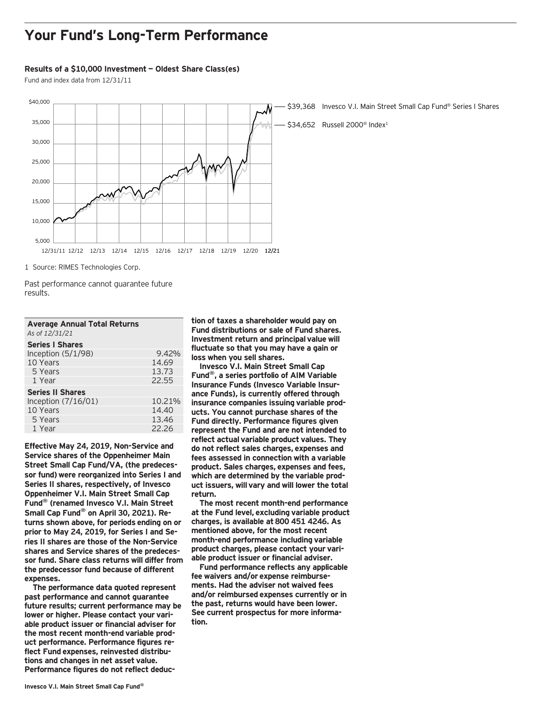### **Your Fund's Long-Term Performance**

#### **Results of a \$10,000 Investment — Oldest Share Class(es)**

Fund and index data from 12/31/11



1 Source: RIMES Technologies Corp.

Past performance cannot guarantee future results.

| <b>Average Annual Total Returns</b> |  |
|-------------------------------------|--|
| As of 12/31/21                      |  |

#### **Series I Shares**  Inception (5/1/98) 9.42%<br>10 Years 14.69 10 Years 14.69<br>13.73 13.73 5 Years 13.73<br>1 Year 22.55 1 Year **Series II Shares**<br>Inception (7/16/01) 10.21% Inception (7/16/01) 10.21<br>10 Years 14.40 10 Years 5 Years 13.46 1 Year 22.26

**Effective May 24, 2019, Non-Service and Service shares of the Oppenheimer Main Street Small Cap Fund/VA, (the predecessor fund) were reorganized into Series I and Series II shares, respectively, of Invesco Oppenheimer V.I. Main Street Small Cap Fund® (renamed Invesco V.I. Main Street Small Cap Fund® on April 30, 2021). Returns shown above, for periods ending on or prior to May 24, 2019, for Series I and Series II shares are those of the Non-Service shares and Service shares of the predecessor fund. Share class returns will differ from the predecessor fund because of different expenses.**

**The performance data quoted represent past performance and cannot guarantee future results; current performance may be lower or higher. Please contact your variable product issuer or financial adviser for the most recent month-end variable product performance. Performance figures reflect Fund expenses, reinvested distributions and changes in net asset value. Performance figures do not reflect deduc-** **tion of taxes a shareholder would pay on Fund distributions or sale of Fund shares. Investment return and principal value will fluctuate so that you may have a gain or loss when you sell shares.**

**Invesco V.I. Main Street Small Cap Fund®, a series portfolio of AIM Variable Insurance Funds (Invesco Variable Insurance Funds), is currently offered through insurance companies issuing variable products. You cannot purchase shares of the Fund directly. Performance figures given represent the Fund and are not intended to reflect actual variable product values. They do not reflect sales charges, expenses and fees assessed in connection with a variable product. Sales charges, expenses and fees, which are determined by the variable product issuers, will vary and will lower the total return.**

**The most recent month-end performance at the Fund level, excluding variable product charges, is available at 800 451 4246. As mentioned above, for the most recent month-end performance including variable product charges, please contact your variable product issuer or financial adviser.**

**Fund performance reflects any applicable fee waivers and/or expense reimbursements. Had the adviser not waived fees and/or reimbursed expenses currently or in the past, returns would have been lower. See current prospectus for more information.**

\$39,368 Invesco V.I. Main Street Small Cap Fund® Series I Shares

\$34,652 Russell 2000<sup>®</sup> Index<sup>1</sup>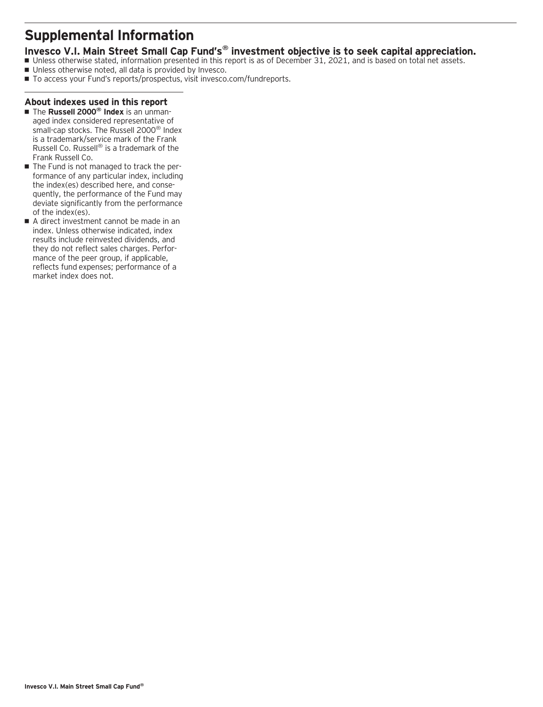### **Supplemental Information**

### **Invesco V.I. Main Street Small Cap Fund's® investment objective is to seek capital appreciation.**

- Unless otherwise stated, information presented in this report is as of December 31, 2021, and is based on total net assets.
- Unless otherwise noted, all data is provided by Invesco.
- To access your Fund's reports/prospectus, visit invesco.com/fundreports.

### **About indexes used in this report**

- The **Russell 2000<sup>®</sup> Index** is an unmanaged index considered representative of small-cap stocks. The Russell 2000® Index is a trademark/service mark of the Frank Russell Co. Russell® is a trademark of the Frank Russell Co.
- The Fund is not managed to track the performance of any particular index, including the index(es) described here, and consequently, the performance of the Fund may deviate significantly from the performance of the index(es).
- A direct investment cannot be made in an index. Unless otherwise indicated, index results include reinvested dividends, and they do not reflect sales charges. Performance of the peer group, if applicable, reflects fund expenses; performance of a market index does not.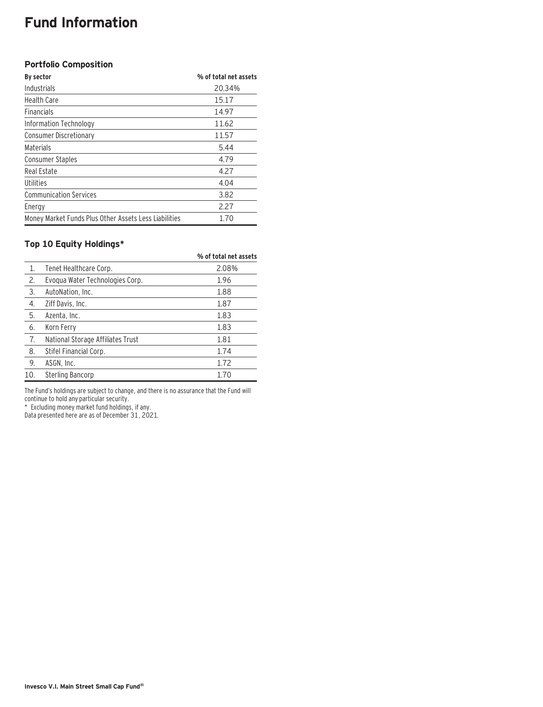### **Fund Information**

### **Portfolio Composition**

| By sector                                             | % of total net assets |
|-------------------------------------------------------|-----------------------|
| Industrials                                           | 20.34%                |
| <b>Health Care</b>                                    | 15.17                 |
| <b>Financials</b>                                     | 14.97                 |
| Information Technology                                | 11.62                 |
| <b>Consumer Discretionary</b>                         | 11.57                 |
| Materials                                             | 5.44                  |
| <b>Consumer Staples</b>                               | 4.79                  |
| Real Estate                                           | 4.27                  |
| Utilities                                             | 4.04                  |
| <b>Communication Services</b>                         | 3.82                  |
| Energy                                                | 2.27                  |
| Money Market Funds Plus Other Assets Less Liabilities | 1.70                  |

### **Top 10 Equity Holdings\***

|                  |                                   | % of total net assets |
|------------------|-----------------------------------|-----------------------|
| 1.               | Tenet Healthcare Corp.            | 2.08%                 |
| 2.               | Evoqua Water Technologies Corp.   | 1.96                  |
| 3.               | AutoNation, Inc.                  | 1.88                  |
| $\overline{4}$ . | Ziff Davis, Inc.                  | 1.87                  |
| 5.               | Azenta, Inc.                      | 1.83                  |
| 6.               | Korn Ferry                        | 1.83                  |
| 7.               | National Storage Affiliates Trust | 1.81                  |
| 8.               | Stifel Financial Corp.            | 1.74                  |
| 9.               | ASGN, Inc.                        | 1.72                  |
| 10.              | Sterling Bancorp                  | 1.70                  |

The Fund's holdings are subject to change, and there is no assurance that the Fund will continue to hold any particular security.

\* Excluding money market fund holdings, if any.

Data presented here are as of December 31, 2021.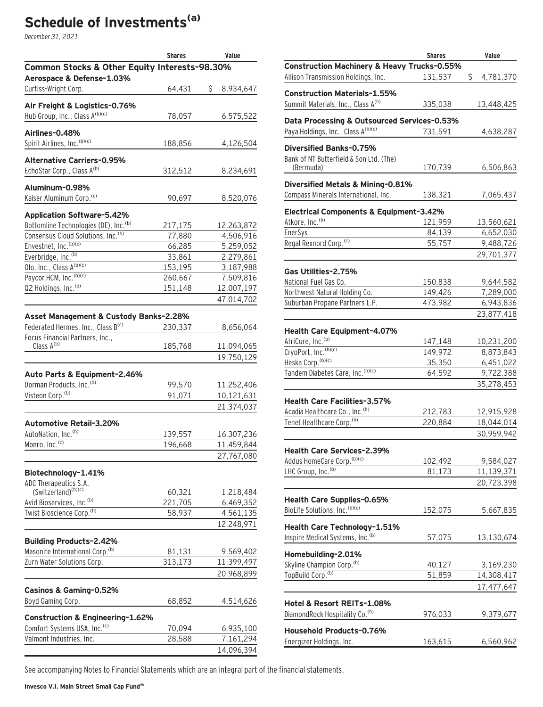# **Schedule of Investments(a)**

December 31, 2021

|                                                                            | <b>Shares</b> | Value           |
|----------------------------------------------------------------------------|---------------|-----------------|
| Common Stocks & Other Equity Interests-98.30%<br>Aerospace & Defense-1.03% |               |                 |
| Curtiss-Wright Corp.                                                       | 64,431        | \$<br>8,934,647 |
| Air Freight & Logistics-0.76%<br>Hub Group, Inc., Class A(b)(c)            |               |                 |
|                                                                            | 78,057        | 6,575,522       |
| Airlines-0.48%                                                             |               |                 |
| Spirit Airlines, Inc. (b)(c)                                               | 188,856       | 4,126,504       |
| <b>Alternative Carriers-0.95%</b>                                          |               |                 |
| EchoStar Corp., Class A <sup>(b)</sup>                                     | 312,512       | 8,234,691       |
|                                                                            |               |                 |
| Aluminum-0.98%                                                             |               |                 |
| Kaiser Aluminum Corp. <sup>(c)</sup>                                       | 90,697        | 8,520,076       |
| <b>Application Software-5.42%</b>                                          |               |                 |
| Bottomline Technologies (DE), Inc. <sup>(b)</sup>                          | 217,175       | 12,263,872      |
| Consensus Cloud Solutions, Inc.(b)                                         | 77,880        | 4,506,916       |
| Envestnet, Inc. (b)(c)                                                     | 66,285        | 5,259,052       |
| Everbridge, Inc. <sup>(b)</sup>                                            | 33,861        | 2,279,861       |
| Olo, Inc., Class A <sup>(b)(c)</sup>                                       | 153,195       | 3,187,988       |
| Paycor HCM, Inc. (b)(c)                                                    | 260,667       | 7,509,816       |
| 02 Holdings, Inc. <sup>(b)</sup>                                           | 151,148       | 12,007,197      |
|                                                                            |               | 47,014,702      |
| Asset Management & Custody Banks-2.28%                                     |               |                 |
| Federated Hermes, Inc., Class B(c)                                         | 230,337       | 8,656,064       |
| Focus Financial Partners, Inc.,                                            |               |                 |
| Class A <sup>(b)</sup>                                                     | 185,768       | 11,094,065      |
|                                                                            |               | 19,750,129      |
| Auto Parts & Equipment-2.46%                                               |               |                 |
| Dorman Products, Inc. (b)                                                  | 99,570        | 11,252,406      |
| Visteon Corp. <sup>(b)</sup>                                               | 91,071        | 10,121,631      |
|                                                                            |               | 21,374,037      |
|                                                                            |               |                 |
| Automotive Retail-3.20%                                                    |               |                 |
| AutoNation, Inc. <sup>(b)</sup>                                            | 139,557       | 16,307,236      |
| Monro, Inc. <sup>(c)</sup>                                                 | 196,668       | 11,459,844      |
|                                                                            |               | 27,767,080      |
| Biotechnology-1.41%                                                        |               |                 |
| ADC Therapeutics S.A.                                                      |               |                 |
| (Switzerland) <sup>(b)(c)</sup>                                            | 60,321        | 1,218,484       |
| Avid Bioservices, Inc. <sup>(b)</sup>                                      | 221,705       | 6,469,352       |
| Twist Bioscience Corp. <sup>(b)</sup>                                      | 58,937        | 4,561,135       |
|                                                                            |               | 12,248,971      |
| <b>Building Products-2.42%</b>                                             |               |                 |
| Masonite International Corp. <sup>(b)</sup>                                | 81,131        | 9,569,402       |
| Zurn Water Solutions Corp.                                                 | 313,173       | 11,399,497      |
|                                                                            |               | 20,968,899      |
|                                                                            |               |                 |
| Casinos & Gaming-0.52%                                                     |               |                 |
| Boyd Gaming Corp.                                                          | 68,852        | 4,514,626       |
| <b>Construction &amp; Engineering-1.62%</b>                                |               |                 |
| Comfort Systems USA, Inc. <sup>(c)</sup>                                   | 70,094        | 6,935,100       |
| Valmont Industries, Inc.                                                   | 28,588        | 7,161,294       |
|                                                                            |               | 14,096,394      |
|                                                                            |               |                 |

|                                                        | <b>Shares</b> | Value           |
|--------------------------------------------------------|---------------|-----------------|
| <b>Construction Machinery &amp; Heavy Trucks-0.55%</b> |               |                 |
| Allison Transmission Holdings, Inc.                    | 131,537       | \$<br>4,781,370 |
|                                                        |               |                 |
| <b>Construction Materials-1.55%</b>                    |               |                 |
| Summit Materials, Inc., Class A(b)                     | 335,038       | 13,448,425      |
| Data Processing & Outsourced Services-0.53%            |               |                 |
| Paya Holdings, Inc., Class A(b)(c)                     | 731,591       | 4,638,287       |
|                                                        |               |                 |
| <b>Diversified Banks-0.75%</b>                         |               |                 |
| Bank of NT Butterfield & Son Ltd. (The)                |               |                 |
| (Bermuda)                                              | 170,739       | 6,506,863       |
|                                                        |               |                 |
| Diversified Metals & Mining-0.81%                      |               |                 |
| Compass Minerals International, Inc.                   | 138,321       | 7,065,437       |
| Electrical Components & Equipment-3.42%                |               |                 |
| Atkore, Inc. <sup>(b)</sup>                            | 121,959       | 13,560,621      |
| EnerSys                                                | 84,139        | 6,652,030       |
| Regal Rexnord Corp. <sup>(c)</sup>                     | 55,757        | 9,488,726       |
|                                                        |               | 29,701,377      |
|                                                        |               |                 |
| Gas Utilities-2.75%                                    |               |                 |
| National Fuel Gas Co.                                  | 150,838       | 9,644,582       |
| Northwest Natural Holding Co.                          | 149,426       | 7,289,000       |
| Suburban Propane Partners L.P.                         | 473,982       | 6,943,836       |
|                                                        |               | 23,877,418      |
|                                                        |               |                 |
| <b>Health Care Equipment-4.07%</b>                     |               |                 |
| AtriCure, Inc. <sup>(b)</sup>                          | 147,148       | 10,231,200      |
| CryoPort, Inc. (b)(c)                                  | 149,972       | 8,873,843       |
| Heska Corp. (b)(c)                                     | 35,350        | 6,451,022       |
| Tandem Diabetes Care, Inc. (b)(c)                      | 64,592        | 9,722,388       |
|                                                        |               | 35,278,453      |
|                                                        |               |                 |
| <b>Health Care Facilities-3.57%</b>                    |               |                 |
| Acadia Healthcare Co., Inc. <sup>(b)</sup>             | 212,783       | 12,915,928      |
| Tenet Healthcare Corp. <sup>(b)</sup>                  | 220,884       | 18,044,014      |
|                                                        |               | 30,959,942      |
| <b>Health Care Services-2.39%</b>                      |               |                 |
|                                                        |               |                 |
| Addus HomeCare Corp. (b)(c)                            | 102,492       | 9,584,027       |
| LHC Group, Inc. (b)                                    | 81,173        | 11,139,371      |
|                                                        |               | 20,723,398      |
| Health Care Supplies-0.65%                             |               |                 |
| BioLife Solutions, Inc. (b)(c)                         | 152,075       | 5,667,835       |
|                                                        |               |                 |
| Health Care Technology-1.51%                           |               |                 |
| Inspire Medical Systems, Inc. <sup>(b)</sup>           | 57,075        | 13,130,674      |
|                                                        |               |                 |
| Homebuilding-2.01%                                     |               |                 |
| Skyline Champion Corp. <sup>(b)</sup>                  | 40,127        | 3,169,230       |
| TopBuild Corp. <sup>(b)</sup>                          | 51,859        | 14,308,417      |
|                                                        |               | 17,477,647      |
|                                                        |               |                 |
| Hotel & Resort REITs-1.08%                             |               |                 |
| DiamondRock Hospitality Co. (b)                        | 976,033       | 9,379,677       |
| Household Products-0.76%                               |               |                 |
| Energizer Holdings, Inc.                               | 163,615       | 6,560,962       |
|                                                        |               |                 |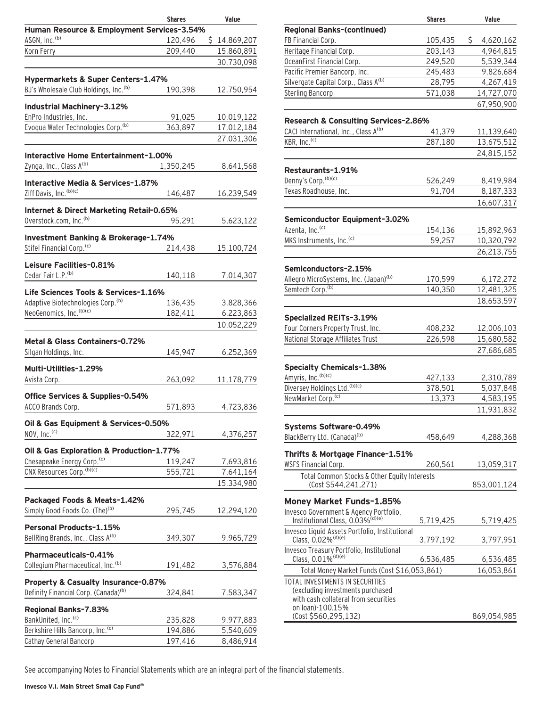|                                                                                         | <b>Shares</b> | Value        |
|-----------------------------------------------------------------------------------------|---------------|--------------|
| Human Resource & Employment Services-3.54%                                              |               |              |
| ASGN, Inc. <sup>(b)</sup>                                                               | 120,496       | \$14,869,207 |
| Korn Ferry                                                                              | 209,440       | 15,860,891   |
|                                                                                         |               | 30,730,098   |
|                                                                                         |               |              |
| Hypermarkets & Super Centers-1.47%<br>BJ's Wholesale Club Holdings, Inc. <sup>(b)</sup> |               |              |
|                                                                                         | 190,398       | 12,750,954   |
| Industrial Machinery-3.12%                                                              |               |              |
| EnPro Industries, Inc.                                                                  | 91,025        | 10,019,122   |
| Evoqua Water Technologies Corp. <sup>(b)</sup>                                          | 363,897       | 17,012,184   |
|                                                                                         |               | 27,031,306   |
| Interactive Home Entertainment-1.00%                                                    |               |              |
| Zynga, Inc., Class A(b)                                                                 |               |              |
|                                                                                         | 1,350,245     | 8,641,568    |
| Interactive Media & Services-1.87%                                                      |               |              |
| Ziff Davis, Inc. (b)(c)                                                                 | 146,487       | 16,239,549   |
| Internet & Direct Marketing Retail-0.65%                                                |               |              |
| Overstock.com, Inc. <sup>(b)</sup>                                                      | 95,291        | 5,623,122    |
|                                                                                         |               |              |
| Investment Banking & Brokerage-1.74%                                                    |               |              |
| Stifel Financial Corp. <sup>(c)</sup>                                                   | 214,438       | 15,100,724   |
| Leisure Facilities-0.81%                                                                |               |              |
| Cedar Fair L.P. <sup>(b)</sup>                                                          | 140,118       | 7,014,307    |
|                                                                                         |               |              |
| Life Sciences Tools & Services-1.16%                                                    |               |              |
| Adaptive Biotechnologies Corp. <sup>(b)</sup>                                           | 136,435       | 3,828,366    |
| NeoGenomics, Inc. (b)(c)                                                                | 182,411       | 6,223,863    |
|                                                                                         |               | 10,052,229   |
| Metal & Glass Containers-0.72%                                                          |               |              |
| Silgan Holdings, Inc.                                                                   | 145,947       | 6,252,369    |
|                                                                                         |               |              |
| Multi-Utilities-1.29%                                                                   |               |              |
| Avista Corp.                                                                            | 263,092       | 11,178,779   |
| Office Services & Supplies-0.54%                                                        |               |              |
| ACCO Brands Corp.                                                                       | 571,893       | 4,723,836    |
|                                                                                         |               |              |
| Oil & Gas Equipment & Services-0.50%                                                    |               |              |
| NOV, Inc. <sup>(c)</sup>                                                                | 322,971       | 4,376,257    |
| Oil & Gas Exploration & Production-1.77%                                                |               |              |
| Chesapeake Energy Corp. <sup>(c)</sup>                                                  | 119,247       | 7,693,816    |
| CNX Resources Corp. (b)(c)                                                              | 555,721       | 7,641,164    |
|                                                                                         |               | 15,334,980   |
|                                                                                         |               |              |
| Packaged Foods & Meats-1.42%                                                            |               |              |
| Simply Good Foods Co. (The) <sup>(b)</sup>                                              | 295,745       | 12,294,120   |
| Personal Products-1.15%                                                                 |               |              |
| BellRing Brands, Inc., Class A(b)                                                       | 349,307       | 9,965,729    |
|                                                                                         |               |              |
| Pharmaceuticals-0.41%                                                                   |               |              |
| Collegium Pharmaceutical, Inc. <sup>(b)</sup>                                           | 191,482       | 3,576,884    |
| Property & Casualty Insurance-0.87%                                                     |               |              |
| Definity Financial Corp. (Canada) <sup>(b)</sup>                                        | 324,841       | 7,583,347    |
|                                                                                         |               |              |
| Regional Banks-7.83%                                                                    |               |              |
| BankUnited, Inc. <sup>(c)</sup><br>Berkshire Hills Bancorp, Inc. <sup>(c)</sup>         | 235,828       | 9,977,883    |
|                                                                                         | 194,886       | 5,540,609    |
| Cathay General Bancorp                                                                  | 197,416       | 8,486,914    |

|                                                                          | <b>Shares</b> | Value           |
|--------------------------------------------------------------------------|---------------|-----------------|
| <b>Regional Banks-(continued)</b>                                        |               |                 |
| FB Financial Corp.                                                       | 105,435       | \$<br>4,620,162 |
| Heritage Financial Corp.                                                 | 203,143       | 4,964,815       |
| OceanFirst Financial Corp.                                               | 249,520       | 5,539,344       |
| Pacific Premier Bancorp, Inc.                                            | 245,483       | 9,826,684       |
| Silvergate Capital Corp., Class A(b)                                     | 28,795        | 4,267,419       |
|                                                                          |               |                 |
| <b>Sterling Bancorp</b>                                                  | 571,038       | 14,727,070      |
|                                                                          |               | 67,950,900      |
| Research & Consulting Services-2.86%                                     |               |                 |
| CACI International, Inc., Class A(b)                                     |               |                 |
| KBR, Inc. <sup>(c)</sup>                                                 | 41,379        | 11,139,640      |
|                                                                          | 287,180       | 13,675,512      |
|                                                                          |               | 24,815,152      |
| Restaurants-1.91%                                                        |               |                 |
| Denny's Corp. (b)(c)                                                     |               |                 |
|                                                                          | 526,249       | 8,419,984       |
| Texas Roadhouse, Inc.                                                    | 91,704        | 8,187,333       |
|                                                                          |               | 16,607,317      |
|                                                                          |               |                 |
| Semiconductor Equipment-3.02%                                            |               |                 |
| Azenta, Inc. <sup>(c)</sup>                                              | 154,136       | 15,892,963      |
| MKS Instruments, Inc. <sup>(c)</sup>                                     | 59,257        | 10,320,792      |
|                                                                          |               | 26,213,755      |
|                                                                          |               |                 |
| Semiconductors-2.15%                                                     |               |                 |
| Allegro MicroSystems, Inc. (Japan) <sup>(b)</sup>                        | 170,599       | 6,172,272       |
| Semtech Corp. <sup>(b)</sup>                                             | 140,350       | 12,481,325      |
|                                                                          |               | 18,653,597      |
|                                                                          |               |                 |
| <b>Specialized REITs-3.19%</b>                                           |               |                 |
| Four Corners Property Trust, Inc.                                        | 408,232       | 12,006,103      |
| National Storage Affiliates Trust                                        | 226,598       | 15,680,582      |
|                                                                          |               | 27,686,685      |
|                                                                          |               |                 |
| <b>Specialty Chemicals-1.38%</b>                                         |               |                 |
| Amyris, Inc. (b)(c)                                                      | 427,133       | 2,310,789       |
| Diversey Holdings Ltd. (b)(c)                                            | 378,501       | 5,037,848       |
| NewMarket Corp. <sup>(c)</sup>                                           | 13,373        | 4,583,195       |
|                                                                          |               | 11,931,832      |
|                                                                          |               |                 |
| Systems Software-0.49%                                                   |               |                 |
| BlackBerry Ltd. (Canada) <sup>(b)</sup>                                  | 458,649       | 4,288,368       |
|                                                                          |               |                 |
| Thrifts & Mortgage Finance-1.51%                                         |               |                 |
| <b>WSFS Financial Corp.</b>                                              | 260,561       | 13,059,317      |
| Total Common Stocks & Other Equity Interests                             |               |                 |
| (Cost \$544,241,271)                                                     |               | 853,001,124     |
| Money Market Funds-1.85%                                                 |               |                 |
| Invesco Government & Agency Portfolio,                                   |               |                 |
| Institutional Class, 0.03% <sup>(d)(e)</sup>                             | 5,719,425     | 5,719,425       |
| Invesco Liquid Assets Portfolio, Institutional                           |               |                 |
| Class, 0.02% <sup>(d)(e)</sup>                                           | 3,797,192     | 3,797,951       |
| Invesco Treasury Portfolio, Institutional                                |               |                 |
| Class, 0.01% <sup>(d)(e)</sup>                                           | 6,536,485     | 6,536,485       |
|                                                                          |               |                 |
| Total Money Market Funds (Cost \$16,053,861)                             |               | 16,053,861      |
| TOTAL INVESTMENTS IN SECURITIES                                          |               |                 |
| (excluding investments purchased<br>with cash collateral from securities |               |                 |
| on loan)-100.15%                                                         |               |                 |
| (Cost \$560,295,132)                                                     |               | 869,054,985     |
|                                                                          |               |                 |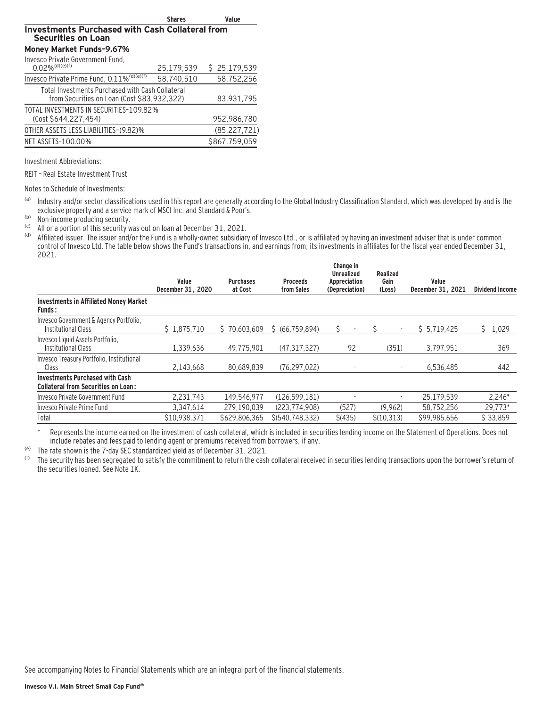|                                                                                                 | <b>Shares</b> | Value          |
|-------------------------------------------------------------------------------------------------|---------------|----------------|
| <b>Investments Purchased with Cash Collateral from</b><br><b>Securities on Loan</b>             |               |                |
| Money Market Funds-9.67%                                                                        |               |                |
| Invesco Private Government Fund,<br>$0.02\%$ <sup>(d)(e)(f)</sup>                               | 25,179,539    | \$25,179,539   |
| Invesco Private Prime Fund, 0.11% <sup>(d)(e)(f)</sup>                                          | 58,740,510    | 58,752,256     |
| Total Investments Purchased with Cash Collateral<br>from Securities on Loan (Cost \$83,932,322) |               | 83,931,795     |
| TOTAL INVESTMENTS IN SECURITIES-109.82%<br>(Cost \$644,227,454)                                 |               | 952,986,780    |
| OTHER ASSETS LESS LIABILITIES-(9.82)%                                                           |               | (85, 227, 721) |
| NET ASSETS-100.00%                                                                              |               | \$867,759,059  |
|                                                                                                 |               |                |

Investment Abbreviations:

REIT – Real Estate Investment Trust

Notes to Schedule of Investments:

(a) Industry and/or sector classifications used in this report are generally according to the Global Industry Classification Standard, which was developed by and is the exclusive property and a service mark of MSCI Inc. and Standard & Poor's.

(b) Non-income producing security.

<sup>(c)</sup> All or a portion of this security was out on loan at December 31, 2021.

Affiliated issuer. The issuer and/or the Fund is a wholly-owned subsidiary of Invesco Ltd., or is affiliated by having an investment adviser that is under common control of Invesco Ltd. The table below shows the Fund's transactions in, and earnings from, its investments in affiliates for the fiscal year ended December 31, 2021.

|                                                                                      | Value<br>December 31, 2020 | <b>Purchases</b><br>at Cost | <b>Proceeds</b><br>from Sales | Change in<br><b>Unrealized</b><br>Appreciation<br>(Depreciation) | Realized<br>Gain<br>(Loss) | Value<br>December 31, 2021 | <b>Dividend Income</b> |
|--------------------------------------------------------------------------------------|----------------------------|-----------------------------|-------------------------------|------------------------------------------------------------------|----------------------------|----------------------------|------------------------|
| <b>Investments in Affiliated Money Market</b><br><b>Funds:</b>                       |                            |                             |                               |                                                                  |                            |                            |                        |
| Invesco Government & Agency Portfolio,<br>Institutional Class                        | \$1,875,710                | \$70.603.609                | \$ (66, 759, 894)             |                                                                  |                            | \$5,719,425                | Ś.<br>1,029            |
| Invesco Liquid Assets Portfolio,<br><b>Institutional Class</b>                       | 1.339.636                  | 49.775.901                  | (47.317.327)                  | 92                                                               | (351)                      | 3.797.951                  | 369                    |
| Invesco Treasury Portfolio, Institutional<br>Class                                   | 2.143.668                  | 80.689.839                  | (76.297.022)                  | $\overline{\phantom{a}}$                                         |                            | 6.536.485                  | 442                    |
| <b>Investments Purchased with Cash</b><br><b>Collateral from Securities on Loan:</b> |                            |                             |                               |                                                                  |                            |                            |                        |
| Invesco Private Government Fund                                                      | 2.231.743                  | 149.546.977                 | (126, 599, 181)               |                                                                  |                            | 25.179.539                 | $2.246*$               |
| Invesco Private Prime Fund                                                           | 3.347.614                  | 279.190.039                 | (223.774.908)                 | (527)                                                            | (9.962)                    | 58.752.256                 | 29.773*                |
| Total                                                                                | \$10.938.371               | \$629.806.365               | \$(540.748.332)               | \$(435)                                                          | \$(10.313)                 | \$99.985.656               | \$33.859               |

\* Represents the income earned on the investment of cash collateral, which is included in securities lending income on the Statement of Operations. Does not include rebates and fees paid to lending agent or premiums received from borrowers, if any.

(e) The rate shown is the 7-day SEC standardized yield as of December 31, 2021.

The security has been segregated to satisfy the commitment to return the cash collateral received in securities lending transactions upon the borrower's return of the securities loaned. See Note 1K.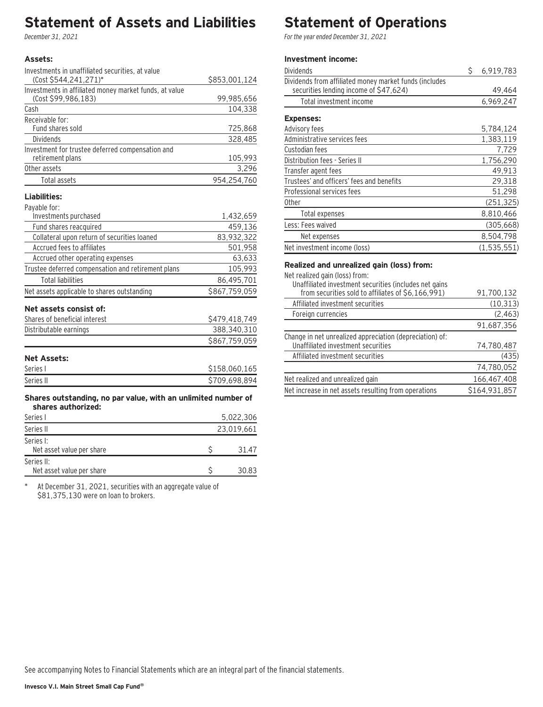### **Statement of Assets and Liabilities**

December 31, 2021

#### **Assets:**

| Investments in unaffiliated securities, at value       |               |
|--------------------------------------------------------|---------------|
| (Cost \$544,241,271)*                                  | \$853,001,124 |
| Investments in affiliated money market funds, at value |               |
| (Cost \$99.986.183)                                    | 99,985,656    |
| Cash                                                   | 104,338       |
| Receivable for:                                        |               |
| Fund shares sold                                       | 725,868       |
| <b>Dividends</b>                                       | 328,485       |
| Investment for trustee deferred compensation and       |               |
| retirement plans                                       | 105,993       |
| Other assets                                           | 3,296         |
| Total assets                                           | 954,254,760   |
|                                                        |               |

#### **Liabilities:**

| Payable for: |  |  |  |  |
|--------------|--|--|--|--|
|--------------|--|--|--|--|

| Investments purchased                              | 1,432,659     |
|----------------------------------------------------|---------------|
| Fund shares reacquired                             | 459,136       |
| Collateral upon return of securities loaned        | 83,932,322    |
| Accrued fees to affiliates                         | 501,958       |
| Accrued other operating expenses                   | 63,633        |
| Trustee deferred compensation and retirement plans | 105,993       |
| <b>Total liabilities</b>                           | 86,495,701    |
| Net assets applicable to shares outstanding        | \$867.759.059 |
| Net assets consist of:                             |               |
| Shares of beneficial interest                      | \$479,418,749 |
| Distributable earnings                             | 388,340,310   |
|                                                    | \$867.759.059 |

### **Net Assets:**

| Series i  | \$158,060,165 |
|-----------|---------------|
| Series II | \$709,698,894 |

#### **Shares outstanding, no par value, with an unlimited number of shares authorized:**

| Series I                                | 5.022.306  |       |
|-----------------------------------------|------------|-------|
| Series II                               | 23,019,661 |       |
| Series I:<br>Net asset value per share  |            | 31.47 |
| Series II:<br>Net asset value per share |            | 30.83 |

\* At December 31, 2021, securities with an aggregate value of \$81,375,130 were on loan to brokers.

# **Statement of Operations**

For the year ended December 31, 2021

### **Investment income:**

| Dividends                                                                                                                                                                                                                                                                                                      | \$<br>6,919,783 |
|----------------------------------------------------------------------------------------------------------------------------------------------------------------------------------------------------------------------------------------------------------------------------------------------------------------|-----------------|
| Dividends from affiliated money market funds (includes<br>securities lending income of \$47,624)                                                                                                                                                                                                               | 49,464          |
| Total investment income                                                                                                                                                                                                                                                                                        | 6,969,247       |
| <b>Expenses:</b>                                                                                                                                                                                                                                                                                               |                 |
| Advisory fees                                                                                                                                                                                                                                                                                                  | 5,784,124       |
| Administrative services fees                                                                                                                                                                                                                                                                                   | 1,383,119       |
| Custodian fees                                                                                                                                                                                                                                                                                                 | 7,729           |
| Distribution fees - Series II                                                                                                                                                                                                                                                                                  | 1,756,290       |
| Transfer agent fees                                                                                                                                                                                                                                                                                            | 49.913          |
| Trustees' and officers' fees and benefits                                                                                                                                                                                                                                                                      | 29,318          |
| Professional services fees                                                                                                                                                                                                                                                                                     | 51,298          |
| <b>Other</b>                                                                                                                                                                                                                                                                                                   | (251, 325)      |
| Total expenses                                                                                                                                                                                                                                                                                                 | 8,810,466       |
| Less: Fees waived                                                                                                                                                                                                                                                                                              | (305, 668)      |
| Net expenses                                                                                                                                                                                                                                                                                                   | 8,504,798       |
| Net investment income (loss)                                                                                                                                                                                                                                                                                   | (1, 535, 551)   |
| Realized and unrealized gain (loss) from:<br>Net realized gain (loss) from:<br>$\sim$ . The contract of the contract of the contract of the contract of the contract of the contract of the contract of the contract of the contract of the contract of the contract of the contract of the contract of the co |                 |

| Unaffiliated investment securities (includes net gains<br>from securities sold to affiliates of \$6,166,991) | 91,700,132    |
|--------------------------------------------------------------------------------------------------------------|---------------|
| Affiliated investment securities                                                                             | (10, 313)     |
| Foreign currencies                                                                                           | (2, 463)      |
|                                                                                                              | 91,687,356    |
| Change in net unrealized appreciation (depreciation) of:<br>Unaffiliated investment securities               | 74,780,487    |
| Affiliated investment securities                                                                             | (435)         |
|                                                                                                              | 74,780,052    |
| Net realized and unrealized gain                                                                             | 166,467,408   |
| Net increase in net assets resulting from operations                                                         | \$164,931,857 |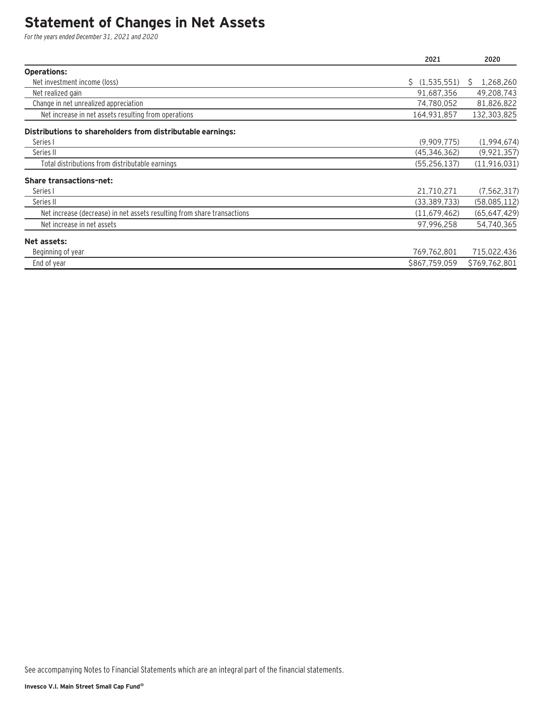### **Statement of Changes in Net Assets**

For the years ended December 31, 2021 and 2020

|                                                                         | 2021           | 2020           |
|-------------------------------------------------------------------------|----------------|----------------|
| <b>Operations:</b>                                                      |                |                |
| Net investment income (loss)                                            | \$(1,535,551)  | 1,268,260<br>S |
| Net realized gain                                                       | 91,687,356     | 49,208,743     |
| Change in net unrealized appreciation                                   | 74,780,052     | 81,826,822     |
| Net increase in net assets resulting from operations                    | 164,931,857    | 132,303,825    |
| Distributions to shareholders from distributable earnings:              |                |                |
| Series I                                                                | (9,909,775)    | (1,994,674)    |
| Series II                                                               | (45, 346, 362) | (9, 921, 357)  |
| Total distributions from distributable earnings                         | (55, 256, 137) | (11, 916, 031) |
| <b>Share transactions-net:</b>                                          |                |                |
| Series I                                                                | 21,710,271     | (7, 562, 317)  |
| Series II                                                               | (33, 389, 733) | (58,085,112)   |
| Net increase (decrease) in net assets resulting from share transactions | (11, 679, 462) | (65, 647, 429) |
| Net increase in net assets                                              | 97,996,258     | 54,740,365     |
| Net assets:                                                             |                |                |
| Beginning of year                                                       | 769,762,801    | 715,022,436    |
| End of year                                                             | \$867,759,059  | \$769,762,801  |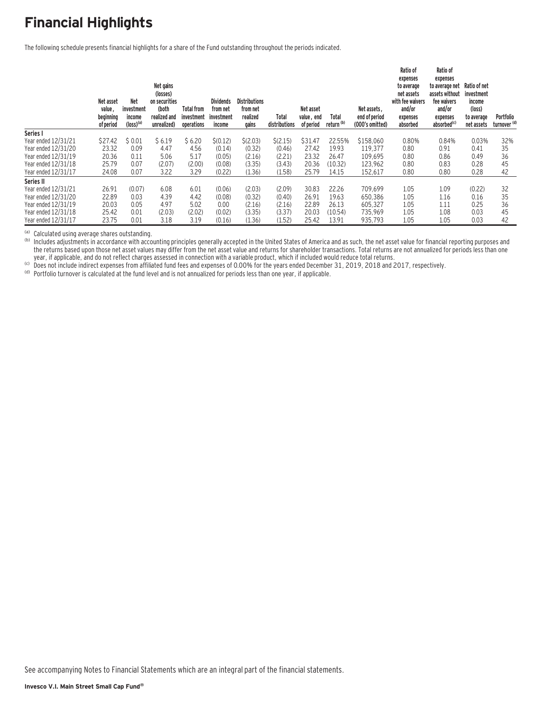### **Financial Highlights**

The following schedule presents financial highlights for a share of the Fund outstanding throughout the periods indicated.

|                     | Net asset<br>value,    | <b>Net</b><br>investment          | Net gains<br>(losses)<br>on securities<br>(both | <b>Total from</b>        | <b>Dividends</b><br>from net | <b>Distributions</b><br>from net |                        | Net asset               |                                | Net assets.                      | Ratio of<br>expenses<br>to average<br>net assets<br>with fee waivers<br>and/or | Ratio of<br>expenses<br>to average net<br>assets without<br>fee waivers<br>and/or | Ratio of net<br>investment<br>income<br>(loss) |                                      |
|---------------------|------------------------|-----------------------------------|-------------------------------------------------|--------------------------|------------------------------|----------------------------------|------------------------|-------------------------|--------------------------------|----------------------------------|--------------------------------------------------------------------------------|-----------------------------------------------------------------------------------|------------------------------------------------|--------------------------------------|
|                     | beginning<br>of period | income<br>$(logs)$ <sup>(a)</sup> | realized and<br>unrealized)                     | investment<br>operations | investment<br>income         | realized<br>gains                | Total<br>distributions | value, end<br>of period | Total<br>return <sup>(b)</sup> | end of period<br>(000's omitted) | expenses<br>absorbed                                                           | expenses<br>absorbed <sup>(c)</sup>                                               | to average<br>net assets                       | Portfolio<br>turnover <sup>(d)</sup> |
| Series I            |                        |                                   |                                                 |                          |                              |                                  |                        |                         |                                |                                  |                                                                                |                                                                                   |                                                |                                      |
| Year ended 12/31/21 | \$27.42                | \$0.01                            | \$6.19                                          | \$6.20                   | \$(0.12)                     | \$(2.03)                         | \$(2.15)               | \$31.47                 | 22.55%                         | \$158,060                        | 0.80%                                                                          | 0.84%                                                                             | 0.03%                                          | 32%                                  |
| Year ended 12/31/20 | 23.32                  | 0.09                              | 4.47                                            | 4.56                     | (0.14)                       | (0.32)                           | (0.46)                 | 27.42                   | 19.93                          | 119.377                          | 0.80                                                                           | 0.91                                                                              | 0.41                                           | 35                                   |
| Year ended 12/31/19 | 20.36                  | 0.11                              | 5.06                                            | 5.17                     | (0.05)                       | (2.16)                           | (2.21)                 | 23.32                   | 26.47                          | 109,695                          | 0.80                                                                           | 0.86                                                                              | 0.49                                           | 36                                   |
| Year ended 12/31/18 | 25.79                  | 0.07                              | (2.07)                                          | (2.00)                   | (0.08)                       | (3.35)                           | (3.43)                 | 20.36                   | (10.32)                        | 123.962                          | 0.80                                                                           | 0.83                                                                              | 0.28                                           | 45                                   |
| Year ended 12/31/17 | 24.08                  | 0.07                              | 3.22                                            | 3.29                     | (0.22)                       | (1.36)                           | (1.58)                 | 25.79                   | 14.15                          | 152,617                          | 0.80                                                                           | 0.80                                                                              | 0.28                                           | 42                                   |
| Series II           |                        |                                   |                                                 |                          |                              |                                  |                        |                         |                                |                                  |                                                                                |                                                                                   |                                                |                                      |
| Year ended 12/31/21 | 26.91                  | (0.07)                            | 6.08                                            | 6.01                     | (0.06)                       | (2.03)                           | (2.09)                 | 30.83                   | 22.26                          | 709.699                          | 1.05                                                                           | 1.09                                                                              | (0.22)                                         | 32                                   |
| Year ended 12/31/20 | 22.89                  | 0.03                              | 4.39                                            | 4.42                     | (0.08)                       | (0.32)                           | (0.40)                 | 26.91                   | 19.63                          | 650.386                          | 1.05                                                                           | 1.16                                                                              | 0.16                                           | 35                                   |
| Year ended 12/31/19 | 20.03                  | 0.05                              | 4.97                                            | 5.02                     | 0.00                         | (2.16)                           | (2.16)                 | 22.89                   | 26.13                          | 605.327                          | 1.05                                                                           | 1.11                                                                              | 0.25                                           | 36                                   |
| Year ended 12/31/18 | 25.42                  | 0.01                              | (2.03)                                          | (2.02)                   | (0.02)                       | (3.35)                           | (3.37)                 | 20.03                   | (10.54)                        | 735.969                          | 1.05                                                                           | 1.08                                                                              | 0.03                                           | 45                                   |
| Year ended 12/31/17 | 23.75                  | 0.01                              | 3.18                                            | 3.19                     | (0.16)                       | (1.36)                           | (1.52)                 | 25.42                   | 13.91                          | 935,793                          | 1.05                                                                           | 1.05                                                                              | 0.03                                           | 42                                   |

(a) Calculated using average shares outstanding.<br>(b) Includes adjustments in accordance with accounting principles generally accepted in the United States of America and as such, the net asset value for financial reporting the returns based upon those net asset values may differ from the net asset value and returns for shareholder transactions. Total returns are not annualized for periods less than one very if applicable, and do not reflect charges assessed in connection with a variable product, which if included would reduce total returns.<br>(c) Does not include indirect expenses from affiliated fund fees and expenses of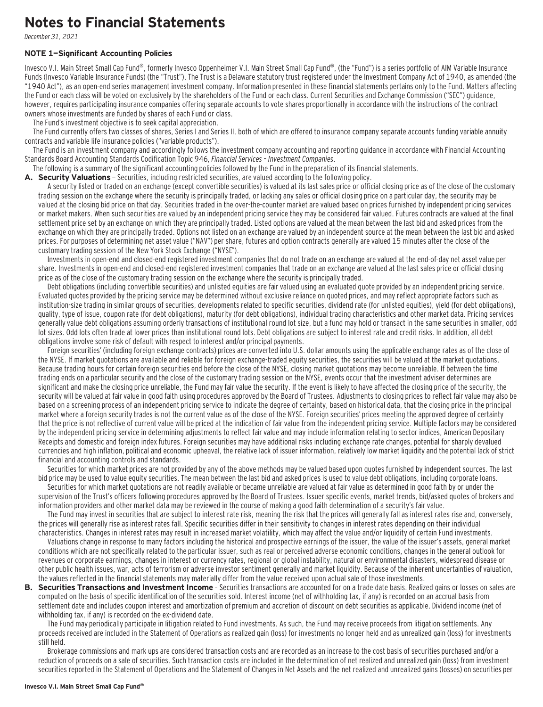### **Notes to Financial Statements**

December 31, 2021

#### **NOTE 1—Significant Accounting Policies**

Invesco V.I. Main Street Small Cap Fund®, formerly Invesco Oppenheimer V.I. Main Street Small Cap Fund®, (the "Fund") is a series portfolio of AIM Variable Insurance Funds (Invesco Variable Insurance Funds) (the "Trust"). The Trust is a Delaware statutory trust registered under the Investment Company Act of 1940, as amended (the "1940 Act"), as an open-end series management investment company. Information presented in these financial statements pertains only to the Fund. Matters affecting the Fund or each class will be voted on exclusively by the shareholders of the Fund or each class. Current Securities and Exchange Commission ("SEC") guidance, however, requires participating insurance companies offering separate accounts to vote shares proportionally in accordance with the instructions of the contract owners whose investments are funded by shares of each Fund or class.

The Fund's investment objective is to seek capital appreciation.

The Fund currently offers two classes of shares, Series I and Series II, both of which are offered to insurance company separate accounts funding variable annuity contracts and variable life insurance policies ("variable products").

The Fund is an investment company and accordingly follows the investment company accounting and reporting guidance in accordance with Financial Accounting Standards Board Accounting Standards Codification Topic 946, Financial Services – Investment Companies.

The following is a summary of the significant accounting policies followed by the Fund in the preparation of its financial statements.

A. Security Valuations - Securities, including restricted securities, are valued according to the following policy.

A security listed or traded on an exchange (except convertible securities) is valued at its last sales price or official closing price as of the close of the customary trading session on the exchange where the security is principally traded, or lacking any sales or official closing price on a particular day, the security may be valued at the closing bid price on that day. Securities traded in the over-the-counter market are valued based on prices furnished by independent pricing services or market makers. When such securities are valued by an independent pricing service they may be considered fair valued. Futures contracts are valued at the final settlement price set by an exchange on which they are principally traded. Listed options are valued at the mean between the last bid and asked prices from the exchange on which they are principally traded. Options not listed on an exchange are valued by an independent source at the mean between the last bid and asked prices. For purposes of determining net asset value ("NAV") per share, futures and option contracts generally are valued 15 minutes after the close of the customary trading session of the New York Stock Exchange ("NYSE").

Investments in open-end and closed-end registered investment companies that do not trade on an exchange are valued at the end-of-day net asset value per share. Investments in open-end and closed-end registered investment companies that trade on an exchange are valued at the last sales price or official closing price as of the close of the customary trading session on the exchange where the security is principally traded.

Debt obligations (including convertible securities) and unlisted equities are fair valued using an evaluated quote provided by an independent pricing service. Evaluated quotes provided by the pricing service may be determined without exclusive reliance on quoted prices, and may reflect appropriate factors such as institution-size trading in similar groups of securities, developments related to specific securities, dividend rate (for unlisted equities), yield (for debt obligations), quality, type of issue, coupon rate (for debt obligations), maturity (for debt obligations), individual trading characteristics and other market data. Pricing services generally value debt obligations assuming orderly transactions of institutional round lot size, but a fund may hold or transact in the same securities in smaller, odd lot sizes. Odd lots often trade at lower prices than institutional round lots. Debt obligations are subject to interest rate and credit risks. In addition, all debt obligations involve some risk of default with respect to interest and/or principal payments.

Foreign securities' (including foreign exchange contracts) prices are converted into U.S. dollar amounts using the applicable exchange rates as of the close of the NYSE. If market quotations are available and reliable for foreign exchange-traded equity securities, the securities will be valued at the market quotations. Because trading hours for certain foreign securities end before the close of the NYSE, closing market quotations may become unreliable. If between the time trading ends on a particular security and the close of the customary trading session on the NYSE, events occur that the investment adviser determines are significant and make the closing price unreliable, the Fund may fair value the security. If the event is likely to have affected the closing price of the security, the security will be valued at fair value in good faith using procedures approved by the Board of Trustees. Adjustments to closing prices to reflect fair value may also be based on a screening process of an independent pricing service to indicate the degree of certainty, based on historical data, that the closing price in the principal market where a foreign security trades is not the current value as of the close of the NYSE. Foreign securities' prices meeting the approved degree of certainty that the price is not reflective of current value will be priced at the indication of fair value from the independent pricing service. Multiple factors may be considered by the independent pricing service in determining adjustments to reflect fair value and may include information relating to sector indices, American Depositary Receipts and domestic and foreign index futures. Foreign securities may have additional risks including exchange rate changes, potential for sharply devalued currencies and high inflation, political and economic upheaval, the relative lack of issuer information, relatively low market liquidity and the potential lack of strict financial and accounting controls and standards.

Securities for which market prices are not provided by any of the above methods may be valued based upon quotes furnished by independent sources. The last bid price may be used to value equity securities. The mean between the last bid and asked prices is used to value debt obligations, including corporate loans.

Securities for which market quotations are not readily available or became unreliable are valued at fair value as determined in good faith by or under the supervision of the Trust's officers following procedures approved by the Board of Trustees. Issuer specific events, market trends, bid/asked quotes of brokers and information providers and other market data may be reviewed in the course of making a good faith determination of a security's fair value.

The Fund may invest in securities that are subject to interest rate risk, meaning the risk that the prices will generally fall as interest rates rise and, conversely, the prices will generally rise as interest rates fall. Specific securities differ in their sensitivity to changes in interest rates depending on their individual characteristics. Changes in interest rates may result in increased market volatility, which may affect the value and/or liquidity of certain Fund investments.

Valuations change in response to many factors including the historical and prospective earnings of the issuer, the value of the issuer's assets, general market conditions which are not specifically related to the particular issuer, such as real or perceived adverse economic conditions, changes in the general outlook for revenues or corporate earnings, changes in interest or currency rates, regional or global instability, natural or environmental disasters, widespread disease or other public health issues, war, acts of terrorism or adverse investor sentiment generally and market liquidity. Because of the inherent uncertainties of valuation, the values reflected in the financial statements may materially differ from the value received upon actual sale of those investments.

**B. Securities Transactions and Investment Income** - Securities transactions are accounted for on a trade date basis. Realized gains or losses on sales are computed on the basis of specific identification of the securities sold. Interest income (net of withholding tax, if any) is recorded on an accrual basis from settlement date and includes coupon interest and amortization of premium and accretion of discount on debt securities as applicable. Dividend income (net of withholding tax, if any) is recorded on the ex-dividend date.

The Fund may periodically participate in litigation related to Fund investments. As such, the Fund may receive proceeds from litigation settlements. Any proceeds received are included in the Statement of Operations as realized gain (loss) for investments no longer held and as unrealized gain (loss) for investments still held.

Brokerage commissions and mark ups are considered transaction costs and are recorded as an increase to the cost basis of securities purchased and/or a reduction of proceeds on a sale of securities. Such transaction costs are included in the determination of net realized and unrealized gain (loss) from investment securities reported in the Statement of Operations and the Statement of Changes in Net Assets and the net realized and unrealized gains (losses) on securities per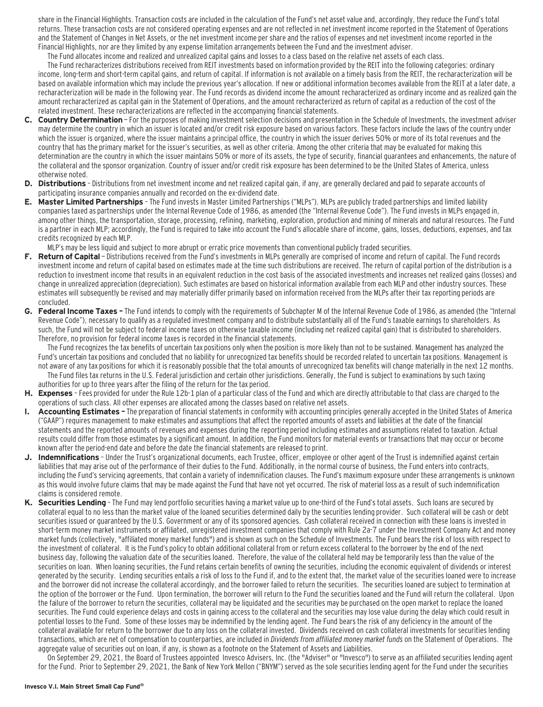share in the Financial Highlights. Transaction costs are included in the calculation of the Fund's net asset value and, accordingly, they reduce the Fund's total returns. These transaction costs are not considered operating expenses and are not reflected in net investment income reported in the Statement of Operations and the Statement of Changes in Net Assets, or the net investment income per share and the ratios of expenses and net investment income reported in the Financial Highlights, nor are they limited by any expense limitation arrangements between the Fund and the investment adviser.

The Fund allocates income and realized and unrealized capital gains and losses to a class based on the relative net assets of each class.

The Fund recharacterizes distributions received from REIT investments based on information provided by the REIT into the following categories: ordinary income, long-term and short-term capital gains, and return of capital. If information is not available on a timely basis from the REIT, the recharacterization will be based on available information which may include the previous year's allocation. If new or additional information becomes available from the REIT at a later date, a recharacterization will be made in the following year. The Fund records as dividend income the amount recharacterized as ordinary income and as realized gain the amount recharacterized as capital gain in the Statement of Operations, and the amount recharacterized as return of capital as a reduction of the cost of the related investment. These recharacterizations are reflected in the accompanying financial statements.

- **C. Country Determination**  For the purposes of making investment selection decisions and presentation in the Schedule of Investments, the investment adviser may determine the country in which an issuer is located and/or credit risk exposure based on various factors. These factors include the laws of the country under which the issuer is organized, where the issuer maintains a principal office, the country in which the issuer derives 50% or more of its total revenues and the country that has the primary market for the issuer's securities, as well as other criteria. Among the other criteria that may be evaluated for making this determination are the country in which the issuer maintains 50% or more of its assets, the type of security, financial guarantees and enhancements, the nature of the collateral and the sponsor organization. Country of issuer and/or credit risk exposure has been determined to be the United States of America, unless otherwise noted.
- **D. Distributions**  Distributions from net investment income and net realized capital gain, if any, are generally declared and paid to separate accounts of participating insurance companies annually and recorded on the ex-dividend date.
- **E. Master Limited Partnerships**  The Fund invests in Master Limited Partnerships ("MLPs"). MLPs are publicly traded partnerships and limited liability companies taxed as partnerships under the Internal Revenue Code of 1986, as amended (the "Internal Revenue Code"). The Fund invests in MLPs engaged in, among other things, the transportation, storage, processing, refining, marketing, exploration, production and mining of minerals and natural resources. The Fund is a partner in each MLP; accordingly, the Fund is required to take into account the Fund's allocable share of income, gains, losses, deductions, expenses, and tax credits recognized by each MLP.

MLP's may be less liquid and subject to more abrupt or erratic price movements than conventional publicly traded securities.

- F. Return of Capital Distributions received from the Fund's investments in MLPs generally are comprised of income and return of capital. The Fund records investment income and return of capital based on estimates made at the time such distributions are received. The return of capital portion of the distribution is a reduction to investment income that results in an equivalent reduction in the cost basis of the associated investments and increases net realized gains (losses) and change in unrealized appreciation (depreciation). Such estimates are based on historical information available from each MLP and other industry sources. These estimates will subsequently be revised and may materially differ primarily based on information received from the MLPs after their tax reporting periods are concluded.
- **G. Federal Income Taxes** The Fund intends to comply with the requirements of Subchapter M of the Internal Revenue Code of 1986, as amended (the "Internal Revenue Code"), necessary to qualify as a regulated investment company and to distribute substantially all of the Fund's taxable earnings to shareholders. As such, the Fund will not be subject to federal income taxes on otherwise taxable income (including net realized capital gain) that is distributed to shareholders. Therefore, no provision for federal income taxes is recorded in the financial statements.

The Fund recognizes the tax benefits of uncertain tax positions only when the position is more likely than not to be sustained. Management has analyzed the Fund's uncertain tax positions and concluded that no liability for unrecognized tax benefits should be recorded related to uncertain tax positions. Management is not aware of any tax positions for which it is reasonably possible that the total amounts of unrecognized tax benefits will change materially in the next 12 months.

- The Fund files tax returns in the U.S. Federal jurisdiction and certain other jurisdictions. Generally, the Fund is subject to examinations by such taxing authorities for up to three years after the filing of the return for the tax period.
- **H. Expenses**  Fees provided for under the Rule 12b-1 plan of a particular class of the Fund and which are directly attributable to that class are charged to the operations of such class. All other expenses are allocated among the classes based on relative net assets.
- **I. Accounting Estimates** The preparation of financial statements in conformity with accounting principles generally accepted in the United States of America ("GAAP") requires management to make estimates and assumptions that affect the reported amounts of assets and liabilities at the date of the financial statements and the reported amounts of revenues and expenses during the reporting period including estimates and assumptions related to taxation. Actual results could differ from those estimates by a significant amount. In addition, the Fund monitors for material events or transactions that may occur or become known after the period-end date and before the date the financial statements are released to print.
- **J. Indemnifications**  Under the Trust's organizational documents, each Trustee, officer, employee or other agent of the Trust is indemnified against certain liabilities that may arise out of the performance of their duties to the Fund. Additionally, in the normal course of business, the Fund enters into contracts, including the Fund's servicing agreements, that contain a variety of indemnification clauses. The Fund's maximum exposure under these arrangements is unknown as this would involve future claims that may be made against the Fund that have not yet occurred. The risk of material loss as a result of such indemnification claims is considered remote.
- **K. Securities Lending**  The Fund may lend portfolio securities having a market value up to one-third of the Fund's total assets. Such loans are secured by collateral equal to no less than the market value of the loaned securities determined daily by the securities lending provider. Such collateral will be cash or debt securities issued or guaranteed by the U.S. Government or any of its sponsored agencies. Cash collateral received in connection with these loans is invested in short-term money market instruments or affiliated, unregistered investment companies that comply with Rule 2a-7 under the Investment Company Act and money market funds (collectively, "affiliated money market funds") and is shown as such on the Schedule of Investments. The Fund bears the risk of loss with respect to the investment of collateral. It is the Fund's policy to obtain additional collateral from or return excess collateral to the borrower by the end of the next business day, following the valuation date of the securities loaned. Therefore, the value of the collateral held may be temporarily less than the value of the securities on loan. When loaning securities, the Fund retains certain benefits of owning the securities, including the economic equivalent of dividends or interest generated by the security. Lending securities entails a risk of loss to the Fund if, and to the extent that, the market value of the securities loaned were to increase and the borrower did not increase the collateral accordingly, and the borrower failed to return the securities. The securities loaned are subject to termination at the option of the borrower or the Fund. Upon termination, the borrower will return to the Fund the securities loaned and the Fund will return the collateral. Upon the failure of the borrower to return the securities, collateral may be liquidated and the securities may be purchased on the open market to replace the loaned securities. The Fund could experience delays and costs in gaining access to the collateral and the securities may lose value during the delay which could result in potential losses to the Fund. Some of these losses may be indemnified by the lending agent. The Fund bears the risk of any deficiency in the amount of the collateral available for return to the borrower due to any loss on the collateral invested. Dividends received on cash collateral investments for securities lending transactions, which are net of compensation to counterparties, are included in Dividends from affiliated money market funds on the Statement of Operations. The aggregate value of securities out on loan, if any, is shown as a footnote on the Statement of Assets and Liabilities.

On September 29, 2021, the Board of Trustees appointed Invesco Advisers, Inc. (the "Adviser" or "Invesco") to serve as an affiliated securities lending agent for the Fund. Prior to September 29, 2021, the Bank of New York Mellon ("BNYM") served as the sole securities lending agent for the Fund under the securities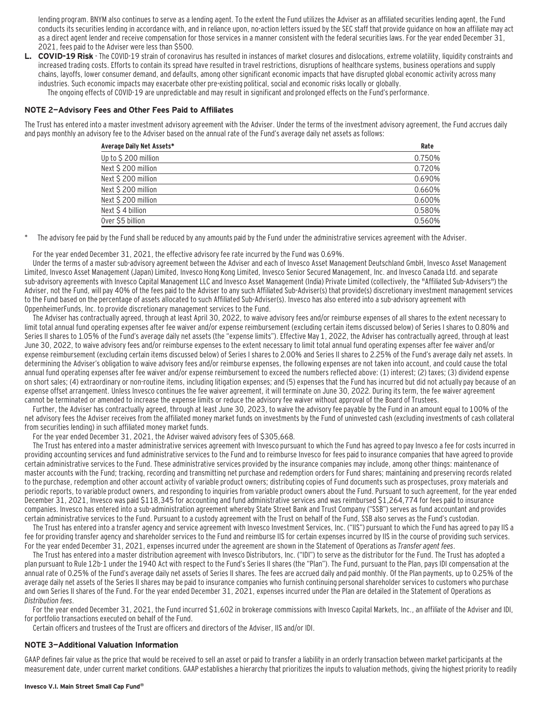lending program. BNYM also continues to serve as a lending agent. To the extent the Fund utilizes the Adviser as an affiliated securities lending agent, the Fund conducts its securities lending in accordance with, and in reliance upon, no-action letters issued by the SEC staff that provide guidance on how an affiliate may act as a direct agent lender and receive compensation for those services in a manner consistent with the federal securities laws. For the year ended December 31, 2021, fees paid to the Adviser were less than \$500.

**L. COVID-19 Risk** - The COVID-19 strain of coronavirus has resulted in instances of market closures and dislocations, extreme volatility, liquidity constraints and increased trading costs. Efforts to contain its spread have resulted in travel restrictions, disruptions of healthcare systems, business operations and supply chains, layoffs, lower consumer demand, and defaults, among other significant economic impacts that have disrupted global economic activity across many industries. Such economic impacts may exacerbate other pre-existing political, social and economic risks locally or globally.

The ongoing effects of COVID-19 are unpredictable and may result in significant and prolonged effects on the Fund's performance.

#### **NOTE 2—Advisory Fees and Other Fees Paid to Affiliates**

The Trust has entered into a master investment advisory agreement with the Adviser. Under the terms of the investment advisory agreement, the Fund accrues daily and pays monthly an advisory fee to the Adviser based on the annual rate of the Fund's average daily net assets as follows:

| Average Daily Net Assets* | Rate   |
|---------------------------|--------|
| Up to \$200 million       | 0.750% |
| Next \$200 million        | 0.720% |
| Next \$200 million        | 0.690% |
| Next \$200 million        | 0.660% |
| Next \$200 million        | 0.600% |
| Next \$4 billion          | 0.580% |
| Over \$5 billion          | 0.560% |

The advisory fee paid by the Fund shall be reduced by any amounts paid by the Fund under the administrative services agreement with the Adviser.

For the year ended December 31, 2021, the effective advisory fee rate incurred by the Fund was 0.69%.

Under the terms of a master sub-advisory agreement between the Adviser and each of Invesco Asset Management Deutschland GmbH, Invesco Asset Management Limited, Invesco Asset Management (Japan) Limited, Invesco Hong Kong Limited, Invesco Senior Secured Management, Inc. and Invesco Canada Ltd. and separate sub-advisory agreements with Invesco Capital Management LLC and Invesco Asset Management (India) Private Limited (collectively, the "Affiliated Sub-Advisers") the Adviser, not the Fund, will pay 40% of the fees paid to the Adviser to any such Affiliated Sub-Adviser(s) that provide(s) discretionary investment management services to the Fund based on the percentage of assets allocated to such Affiliated Sub-Adviser(s). Invesco has also entered into a sub-advisory agreement with OppenheimerFunds, Inc. to provide discretionary management services to the Fund.

The Adviser has contractually agreed, through at least April 30, 2022, to waive advisory fees and/or reimburse expenses of all shares to the extent necessary to limit total annual fund operating expenses after fee waiver and/or expense reimbursement (excluding certain items discussed below) of Series I shares to 0.80% and Series II shares to 1.05% of the Fund's average daily net assets (the "expense limits"). Effective May 1, 2022, the Adviser has contractually agreed, through at least June 30, 2022, to waive advisory fees and/or reimburse expenses to the extent necessary to limit total annual fund operating expenses after fee waiver and/or expense reimbursement (excluding certain items discussed below) of Series I shares to 2.00% and Series II shares to 2.25% of the Fund's average daily net assets. In determining the Adviser's obligation to waive advisory fees and/or reimburse expenses, the following expenses are not taken into account, and could cause the total annual fund operating expenses after fee waiver and/or expense reimbursement to exceed the numbers reflected above: (1) interest; (2) taxes; (3) dividend expense on short sales; (4) extraordinary or non-routine items, including litigation expenses; and (5) expenses that the Fund has incurred but did not actually pay because of an expense offset arrangement. Unless Invesco continues the fee waiver agreement, it will terminate on June 30, 2022. During its term, the fee waiver agreement cannot be terminated or amended to increase the expense limits or reduce the advisory fee waiver without approval of the Board of Trustees.

Further, the Adviser has contractually agreed, through at least June 30, 2023, to waive the advisory fee payable by the Fund in an amount equal to 100% of the net advisory fees the Adviser receives from the affiliated money market funds on investments by the Fund of uninvested cash (excluding investments of cash collateral from securities lending) in such affiliated money market funds.

For the year ended December 31, 2021, the Adviser waived advisory fees of \$305,668.

The Trust has entered into a master administrative services agreement with Invesco pursuant to which the Fund has agreed to pay Invesco a fee for costs incurred in providing accounting services and fund administrative services to the Fund and to reimburse Invesco for fees paid to insurance companies that have agreed to provide certain administrative services to the Fund. These administrative services provided by the insurance companies may include, among other things: maintenance of master accounts with the Fund; tracking, recording and transmitting net purchase and redemption orders for Fund shares; maintaining and preserving records related to the purchase, redemption and other account activity of variable product owners; distributing copies of Fund documents such as prospectuses, proxy materials and periodic reports, to variable product owners, and responding to inquiries from variable product owners about the Fund. Pursuant to such agreement, for the year ended December 31, 2021, Invesco was paid \$118,345 for accounting and fund administrative services and was reimbursed \$1,264,774 for fees paid to insurance companies. Invesco has entered into a sub-administration agreement whereby State Street Bank and Trust Company ("SSB") serves as fund accountant and provides certain administrative services to the Fund. Pursuant to a custody agreement with the Trust on behalf of the Fund, SSB also serves as the Fund's custodian.

The Trust has entered into a transfer agency and service agreement with Invesco Investment Services, Inc. ("IIS") pursuant to which the Fund has agreed to pay IIS a fee for providing transfer agency and shareholder services to the Fund and reimburse IIS for certain expenses incurred by IIS in the course of providing such services. For the year ended December 31, 2021, expenses incurred under the agreement are shown in the Statement of Operations as Transfer agent fees.

The Trust has entered into a master distribution agreement with Invesco Distributors, Inc. ("IDI") to serve as the distributor for the Fund. The Trust has adopted a plan pursuant to Rule 12b-1 under the 1940 Act with respect to the Fund's Series II shares (the "Plan"). The Fund, pursuant to the Plan, pays IDI compensation at the annual rate of 0.25% of the Fund's average daily net assets of Series II shares. The fees are accrued daily and paid monthly. Of the Plan payments, up to 0.25% of the average daily net assets of the Series II shares may be paid to insurance companies who furnish continuing personal shareholder services to customers who purchase and own Series II shares of the Fund. For the year ended December 31, 2021, expenses incurred under the Plan are detailed in the Statement of Operations as Distribution fees.

For the year ended December 31, 2021, the Fund incurred \$1,602 in brokerage commissions with Invesco Capital Markets, Inc., an affiliate of the Adviser and IDI, for portfolio transactions executed on behalf of the Fund.

Certain officers and trustees of the Trust are officers and directors of the Adviser, IIS and/or IDI.

#### **NOTE 3—Additional Valuation Information**

GAAP defines fair value as the price that would be received to sell an asset or paid to transfer a liability in an orderly transaction between market participants at the measurement date, under current market conditions. GAAP establishes a hierarchy that prioritizes the inputs to valuation methods, giving the highest priority to readily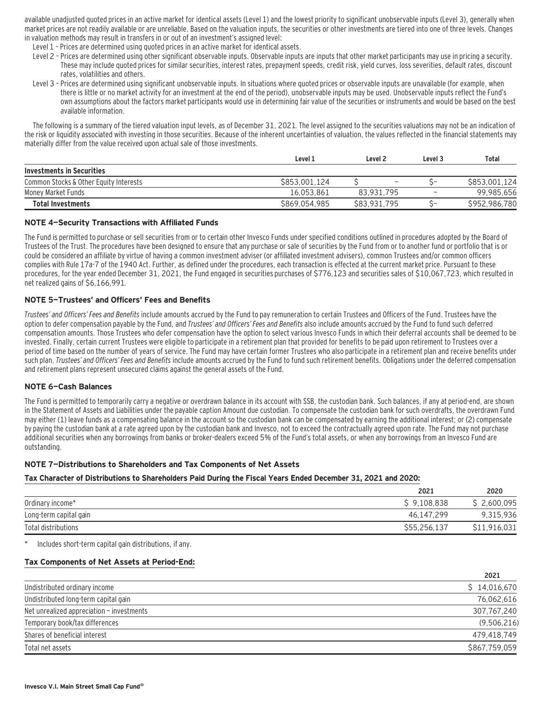available unadjusted quoted prices in an active market for identical assets (Level 1) and the lowest priority to significant unobservable inputs (Level 3), generally when market prices are not readily available or are unreliable. Based on the valuation inputs, the securities or other investments are tiered into one of three levels. Changes in valuation methods may result in transfers in or out of an investment's assigned level:

- Level 1 Prices are determined using quoted prices in an active market for identical assets.
- Level 2 Prices are determined using other significant observable inputs. Observable inputs are inputs that other market participants may use in pricing a security. These may include quoted prices for similar securities, interest rates, prepayment speeds, credit risk, yield curves, loss severities, default rates, discount rates, volatilities and others.
- Level 3 Prices are determined using significant unobservable inputs. In situations where quoted prices or observable inputs are unavailable (for example, when there is little or no market activity for an investment at the end of the period), unobservable inputs may be used. Unobservable inputs reflect the Fund's own assumptions about the factors market participants would use in determining fair value of the securities or instruments and would be based on the best available information.

The following is a summary of the tiered valuation input levels, as of December 31, 2021. The level assigned to the securities valuations may not be an indication of the risk or liquidity associated with investing in those securities. Because of the inherent uncertainties of valuation, the values reflected in the financial statements may materially differ from the value received upon actual sale of those investments.

|                                        | Level 1       | Level 2                  | Level 3           | Total         |
|----------------------------------------|---------------|--------------------------|-------------------|---------------|
| <b>Investments in Securities</b>       |               |                          |                   |               |
| Common Stocks & Other Equity Interests | \$853,001.124 | $\overline{\phantom{0}}$ | ∽∽                | \$853,001.124 |
| Money Market Funds                     | 16.053.861    | 83.931.795               | $\qquad \qquad -$ | 99,985,656    |
| <b>Total Investments</b>               | S869.054.985  | S83.931.795              |                   | \$952,986,780 |

#### **NOTE 4—Security Transactions with Affiliated Funds**

The Fund is permitted to purchase or sell securities from or to certain other Invesco Funds under specified conditions outlined in procedures adopted by the Board of Trustees of the Trust. The procedures have been designed to ensure that any purchase or sale of securities by the Fund from or to another fund or portfolio that is or could be considered an affiliate by virtue of having a common investment adviser (or affiliated investment advisers), common Trustees and/or common officers complies with Rule 17a-7 of the 1940 Act. Further, as defined under the procedures, each transaction is effected at the current market price. Pursuant to these procedures, for the year ended December 31, 2021, the Fund engaged in securities purchases of \$776,123 and securities sales of \$10,067,723, which resulted in net realized gains of \$6,166,991.

#### **NOTE 5—Trustees' and Officers' Fees and Benefits**

Trustees' and Officers' Fees and Benefits include amounts accrued by the Fund to pay remuneration to certain Trustees and Officers of the Fund. Trustees have the option to defer compensation payable by the Fund, and Trustees' and Officers' Fees and Benefits also include amounts accrued by the Fund to fund such deferred compensation amounts. Those Trustees who defer compensation have the option to select various Invesco Funds in which their deferral accounts shall be deemed to be invested. Finally, certain current Trustees were eligible to participate in a retirement plan that provided for benefits to be paid upon retirement to Trustees over a period of time based on the number of years of service. The Fund may have certain former Trustees who also participate in a retirement plan and receive benefits under such plan. Trustees' and Officers' Fees and Benefits include amounts accrued by the Fund to fund such retirement benefits. Obligations under the deferred compensation and retirement plans represent unsecured claims against the general assets of the Fund.

#### **NOTE 6—Cash Balances**

The Fund is permitted to temporarily carry a negative or overdrawn balance in its account with SSB, the custodian bank. Such balances, if any at period-end, are shown in the Statement of Assets and Liabilities under the payable caption Amount due custodian. To compensate the custodian bank for such overdrafts, the overdrawn Fund may either (1) leave funds as a compensating balance in the account so the custodian bank can be compensated by earning the additional interest; or (2) compensate by paying the custodian bank at a rate agreed upon by the custodian bank and Invesco, not to exceed the contractually agreed upon rate. The Fund may not purchase additional securities when any borrowings from banks or broker-dealers exceed 5% of the Fund's total assets, or when any borrowings from an Invesco Fund are outstanding.

#### **NOTE 7—Distributions to Shareholders and Tax Components of Net Assets**

#### **Tax Character of Distributions to Shareholders Paid During the Fiscal Years Ended December 31, 2021 and 2020:**

|                        | 2021         | 2020         |
|------------------------|--------------|--------------|
| Ordinary income*       | \$9.108.838  | \$2,600,095  |
| Long-term capital gain | 46.147.299   | 9.315.936    |
| Total distributions    | \$55,256,137 | \$11,916.031 |
|                        |              |              |

Includes short-term capital gain distributions, if any.

#### **Tax Components of Net Assets at Period-End:**

|                                           | 2021          |
|-------------------------------------------|---------------|
| Undistributed ordinary income             | \$14,016,670  |
| Undistributed long-term capital gain      | 76,062,616    |
| Net unrealized appreciation - investments | 307.767.240   |
| Temporary book/tax differences            | (9,506,216)   |
| Shares of beneficial interest             | 479.418.749   |
| Total net assets                          | \$867,759,059 |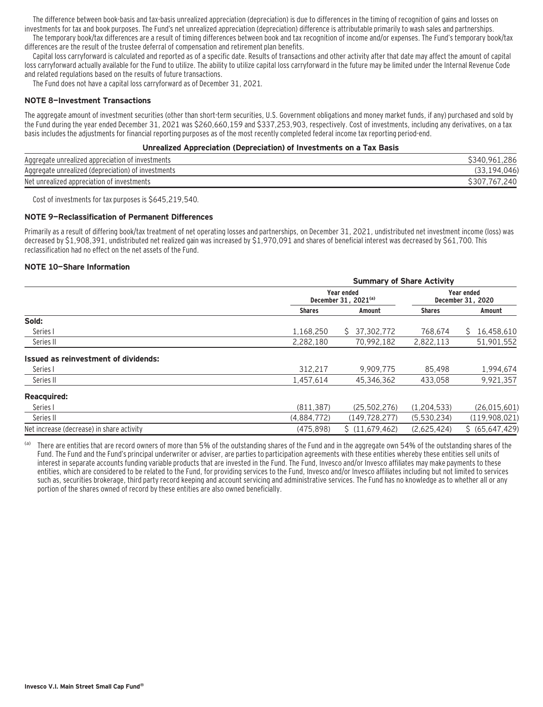The difference between book-basis and tax-basis unrealized appreciation (depreciation) is due to differences in the timing of recognition of gains and losses on investments for tax and book purposes. The Fund's net unrealized appreciation (depreciation) difference is attributable primarily to wash sales and partnerships. The temporary book/tax differences are a result of timing differences between book and tax recognition of income and/or expenses. The Fund's temporary book/tax

differences are the result of the trustee deferral of compensation and retirement plan benefits.

Capital loss carryforward is calculated and reported as of a specific date. Results of transactions and other activity after that date may affect the amount of capital loss carryforward actually available for the Fund to utilize. The ability to utilize capital loss carryforward in the future may be limited under the Internal Revenue Code and related regulations based on the results of future transactions.

The Fund does not have a capital loss carryforward as of December 31, 2021.

#### **NOTE 8—Investment Transactions**

The aggregate amount of investment securities (other than short-term securities, U.S. Government obligations and money market funds, if any) purchased and sold by the Fund during the year ended December 31, 2021 was \$260,660,159 and \$337,253,903, respectively. Cost of investments, including any derivatives, on a tax basis includes the adjustments for financial reporting purposes as of the most recently completed federal income tax reporting period-end.

#### **Unrealized Appreciation (Depreciation) of Investments on a Tax Basis**

| Aggregate unrealized appreciation of investments   | 286<br>34<br>Q <sub>6</sub> |
|----------------------------------------------------|-----------------------------|
| Aggregate unrealized (depreciation) of investments | .046<br>194                 |
| Net unrealized appreciation of investments         | S301<br>240                 |

Cost of investments for tax purposes is \$645,219,540.

#### **NOTE 9—Reclassification of Permanent Differences**

Primarily as a result of differing book/tax treatment of net operating losses and partnerships, on December 31, 2021, undistributed net investment income (loss) was decreased by \$1,908,391, undistributed net realized gain was increased by \$1,970,091 and shares of beneficial interest was decreased by \$61,700. This reclassification had no effect on the net assets of the Fund.

#### **NOTE 10—Share Information**

|                                           | <b>Summary of Share Activity</b> |                                                |               |                                 |
|-------------------------------------------|----------------------------------|------------------------------------------------|---------------|---------------------------------|
|                                           |                                  | Year ended<br>December 31, 2021 <sup>(a)</sup> |               | Year ended<br>December 31, 2020 |
|                                           | <b>Shares</b>                    | Amount                                         | <b>Shares</b> | Amount                          |
| Sold:                                     |                                  |                                                |               |                                 |
| Series I                                  | 1,168,250                        | S.<br>37,302,772                               | 768.674       | 16,458,610<br>S.                |
| Series II                                 | 2,282,180                        | 70,992,182                                     | 2,822,113     | 51,901,552                      |
| Issued as reinvestment of dividends:      |                                  |                                                |               |                                 |
| Series I                                  | 312,217                          | 9,909,775                                      | 85.498        | 1,994,674                       |
| Series II                                 | 1,457,614                        | 45,346,362                                     | 433.058       | 9,921,357                       |
| <b>Reacquired:</b>                        |                                  |                                                |               |                                 |
| Series I                                  | (811, 387)                       | (25, 502, 276)                                 | (1,204,533)   | (26, 015, 601)                  |
| Series II                                 | (4,884,772)                      | (149, 728, 277)                                | (5,530,234)   | (119,908,021)                   |
| Net increase (decrease) in share activity | (475.898)                        | \$(11.679.462)                                 | (2.625.424)   | \$ (65,647,429)                 |

(a) There are entities that are record owners of more than 5% of the outstanding shares of the Fund and in the aggregate own 54% of the outstanding shares of the Fund. The Fund and the Fund's principal underwriter or adviser, are parties to participation agreements with these entities whereby these entities sell units of interest in separate accounts funding variable products that are invested in the Fund. The Fund, Invesco and/or Invesco affiliates may make payments to these entities, which are considered to be related to the Fund, for providing services to the Fund, Invesco and/or Invesco affiliates including but not limited to services such as, securities brokerage, third party record keeping and account servicing and administrative services. The Fund has no knowledge as to whether all or any portion of the shares owned of record by these entities are also owned beneficially.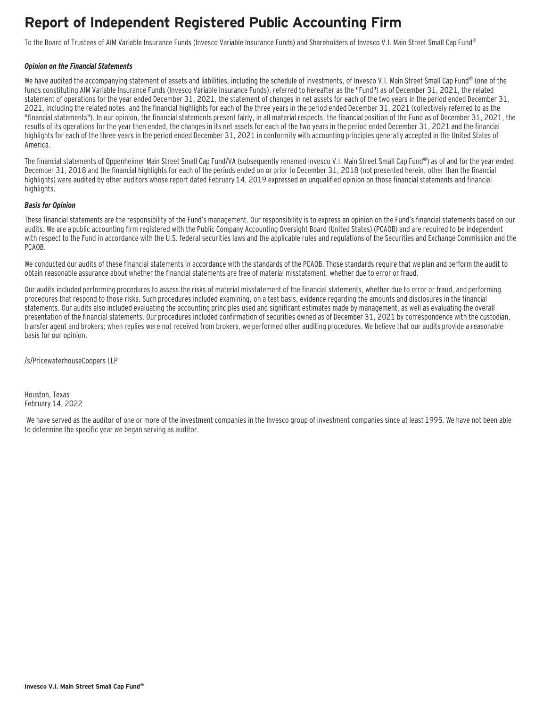### **Report of Independent Registered Public Accounting Firm**

To the Board of Trustees of AIM Variable Insurance Funds (Invesco Variable Insurance Funds) and Shareholders of Invesco V.I. Main Street Small Cap Fund®

#### **Opinion on the Financial Statements**

We have audited the accompanying statement of assets and liabilities, including the schedule of investments, of Invesco V.I. Main Street Small Cap Fund® (one of the funds constituting AIM Variable Insurance Funds (Invesco Variable Insurance Funds), referred to hereafter as the "Fund") as of December 31, 2021, the related statement of operations for the year ended December 31, 2021, the statement of changes in net assets for each of the two years in the period ended December 31, 2021, including the related notes, and the financial highlights for each of the three years in the period ended December 31, 2021 (collectively referred to as the "financial statements"). In our opinion, the financial statements present fairly, in all material respects, the financial position of the Fund as of December 31, 2021, the results of its operations for the year then ended, the changes in its net assets for each of the two years in the period ended December 31, 2021 and the financial highlights for each of the three years in the period ended December 31, 2021 in conformity with accounting principles generally accepted in the United States of America.

The financial statements of Oppenheimer Main Street Small Cap Fund/VA (subsequently renamed Invesco V.I. Main Street Small Cap Fund®) as of and for the year ended December 31, 2018 and the financial highlights for each of the periods ended on or prior to December 31, 2018 (not presented herein, other than the financial highlights) were audited by other auditors whose report dated February 14, 2019 expressed an unqualified opinion on those financial statements and financial highlights.

#### **Basis for Opinion**

These financial statements are the responsibility of the Fund's management. Our responsibility is to express an opinion on the Fund's financial statements based on our audits. We are a public accounting firm registered with the Public Company Accounting Oversight Board (United States) (PCAOB) and are required to be independent with respect to the Fund in accordance with the U.S. federal securities laws and the applicable rules and regulations of the Securities and Exchange Commission and the PCAOB.

We conducted our audits of these financial statements in accordance with the standards of the PCAOB. Those standards require that we plan and perform the audit to obtain reasonable assurance about whether the financial statements are free of material misstatement, whether due to error or fraud.

Our audits included performing procedures to assess the risks of material misstatement of the financial statements, whether due to error or fraud, and performing procedures that respond to those risks. Such procedures included examining, on a test basis, evidence regarding the amounts and disclosures in the financial statements. Our audits also included evaluating the accounting principles used and significant estimates made by management, as well as evaluating the overall presentation of the financial statements. Our procedures included confirmation of securities owned as of December 31, 2021 by correspondence with the custodian, transfer agent and brokers; when replies were not received from brokers, we performed other auditing procedures. We believe that our audits provide a reasonable basis for our opinion.

/s/PricewaterhouseCoopers LLP

Houston, Texas February 14, 2022

 We have served as the auditor of one or more of the investment companies in the Invesco group of investment companies since at least 1995. We have not been able to determine the specific year we began serving as auditor.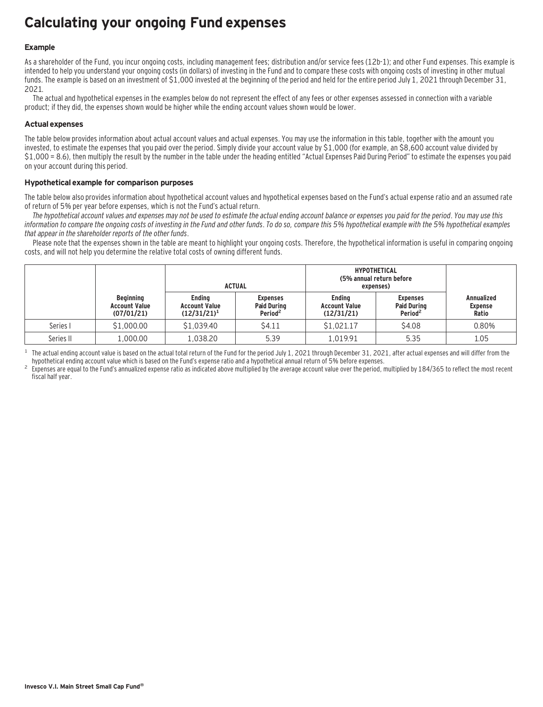### **Calculating your ongoing Fund expenses**

#### **Example**

As a shareholder of the Fund, you incur ongoing costs, including management fees; distribution and/or service fees (12b-1); and other Fund expenses. This example is intended to help you understand your ongoing costs (in dollars) of investing in the Fund and to compare these costs with ongoing costs of investing in other mutual funds. The example is based on an investment of \$1,000 invested at the beginning of the period and held for the entire period July 1, 2021 through December 31, 2021.

The actual and hypothetical expenses in the examples below do not represent the effect of any fees or other expenses assessed in connection with a variable product; if they did, the expenses shown would be higher while the ending account values shown would be lower.

#### **Actual expenses**

The table below provides information about actual account values and actual expenses. You may use the information in this table, together with the amount you invested, to estimate the expenses that you paid over the period. Simply divide your account value by \$1,000 (for example, an \$8,600 account value divided by \$1,000 = 8.6), then multiply the result by the number in the table under the heading entitled "Actual Expenses Paid During Period" to estimate the expenses you paid on your account during this period.

#### **Hypothetical example for comparison purposes**

The table below also provides information about hypothetical account values and hypothetical expenses based on the Fund's actual expense ratio and an assumed rate of return of 5% per year before expenses, which is not the Fund's actual return.

The hypothetical account values and expenses may not be used to estimate the actual ending account balance or expenses you paid for the period. You may use this information to compare the ongoing costs of investing in the Fund and other funds. To do so, compare this 5% hypothetical example with the 5% hypothetical examples that appear in the shareholder reports of the other funds.

Please note that the expenses shown in the table are meant to highlight your ongoing costs. Therefore, the hypothetical information is useful in comparing ongoing costs, and will not help you determine the relative total costs of owning different funds.

|           |                                                        | <b>ACTUAL</b>                                           |                                                              | <b>HYPOTHETICAL</b><br>(5% annual return before<br>expenses) |                                                              |                                              |
|-----------|--------------------------------------------------------|---------------------------------------------------------|--------------------------------------------------------------|--------------------------------------------------------------|--------------------------------------------------------------|----------------------------------------------|
|           | <b>Beginning</b><br><b>Account Value</b><br>(07/01/21) | <b>Ending</b><br><b>Account Value</b><br>$(12/31/21)^1$ | <b>Expenses</b><br><b>Paid During</b><br>Period <sup>2</sup> | <b>Ending</b><br><b>Account Value</b><br>(12/31/21)          | <b>Expenses</b><br><b>Paid During</b><br>Period <sup>2</sup> | <b>Annualized</b><br><b>Expense</b><br>Ratio |
| Series I  | \$1,000.00                                             | \$1,039.40                                              | \$4.11                                                       | \$1,021.17                                                   | \$4.08                                                       | 0.80%                                        |
| Series II | 1,000.00                                               | 1,038.20                                                | 5.39                                                         | 1,019.91                                                     | 5.35                                                         | 1.05                                         |

<sup>1</sup> The actual ending account value is based on the actual total return of the Fund for the period July 1, 2021 through December 31, 2021, after actual expenses and will differ from the hupothetical ending account value w

Expenses are equal to the Fund's annualized expense ratio as indicated above multiplied by the average account value over the period, multiplied by 184/365 to reflect the most recent fiscal half year.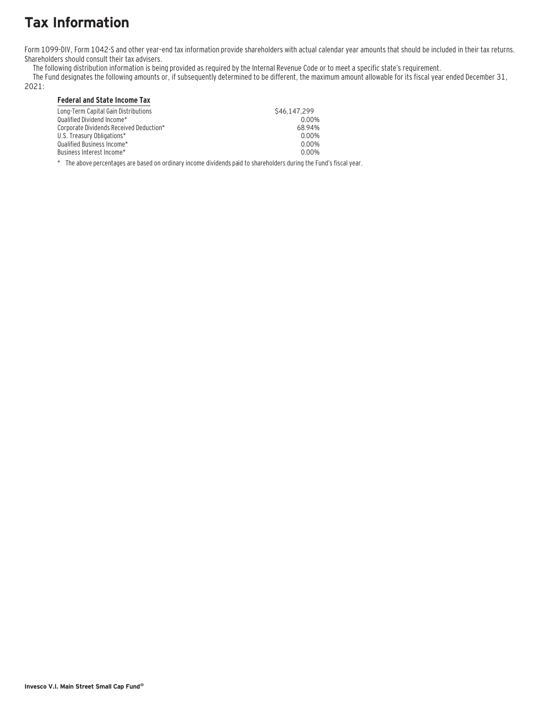### **Tax Information**

Form 1099-DIV, Form 1042-S and other year–end tax information provide shareholders with actual calendar year amounts that should be included in their tax returns. Shareholders should consult their tax advisers.

The following distribution information is being provided as required by the Internal Revenue Code or to meet a specific state's requirement.

The Fund designates the following amounts or, if subsequently determined to be different, the maximum amount allowable for its fiscal year ended December 31,

2021:

### **Federal and State Income Tax**

| \$46.147.299 | Long-Term Capital Gain Distributions    |
|--------------|-----------------------------------------|
| 0.00%        | Oualified Dividend Income*              |
| 6894%        | Corporate Dividends Received Deduction* |
| 0.00%        | U.S. Treasury Obligations*              |
| 0.00%        | Oualified Business Income*              |
| 0.00%        | Business Interest Income*_              |
|              |                                         |

\* The above percentages are based on ordinary income dividends paid to shareholders during the Fund's fiscal year.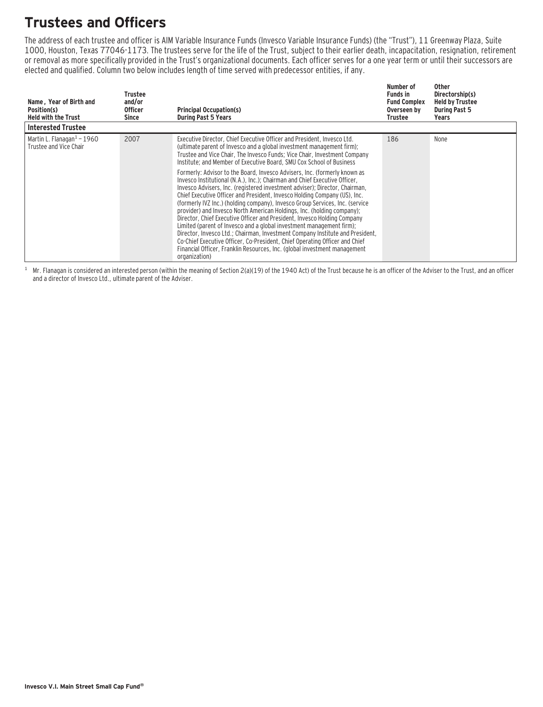### **Trustees and Officers**

The address of each trustee and officer is AIM Variable Insurance Funds (Invesco Variable Insurance Funds) (the "Trust"), 11 Greenway Plaza, Suite 1000, Houston, Texas 77046-1173. The trustees serve for the life of the Trust, subject to their earlier death, incapacitation, resignation, retirement or removal as more specifically provided in the Trust's organizational documents. Each officer serves for a one year term or until their successors are elected and qualified. Column two below includes length of time served with predecessor entities, if any.

| Name, Year of Birth and<br>Position(s)<br><b>Held with the Trust</b> | Trustee<br>and/or<br><b>Officer</b><br>Since | <b>Principal Occupation(s)</b><br><b>During Past 5 Years</b>                                                                                                                                                                                                                                                                                                                                                                                                                                                                                                                                                                                                                                                                                                                                                                                                                                                                                                                                                                                                                                                                                                                                             | Number of<br><b>Funds in</b><br><b>Fund Complex</b><br>Overseen by<br>Trustee | <b>Other</b><br>Directorship(s)<br><b>Held by Trustee</b><br><b>During Past 5</b><br>Years |
|----------------------------------------------------------------------|----------------------------------------------|----------------------------------------------------------------------------------------------------------------------------------------------------------------------------------------------------------------------------------------------------------------------------------------------------------------------------------------------------------------------------------------------------------------------------------------------------------------------------------------------------------------------------------------------------------------------------------------------------------------------------------------------------------------------------------------------------------------------------------------------------------------------------------------------------------------------------------------------------------------------------------------------------------------------------------------------------------------------------------------------------------------------------------------------------------------------------------------------------------------------------------------------------------------------------------------------------------|-------------------------------------------------------------------------------|--------------------------------------------------------------------------------------------|
| <b>Interested Trustee</b>                                            |                                              |                                                                                                                                                                                                                                                                                                                                                                                                                                                                                                                                                                                                                                                                                                                                                                                                                                                                                                                                                                                                                                                                                                                                                                                                          |                                                                               |                                                                                            |
| Martin L. Flanagan $1 - 1960$<br>Trustee and Vice Chair              | 2007                                         | Executive Director, Chief Executive Officer and President, Invesco Ltd.<br>(ultimate parent of Invesco and a global investment management firm);<br>Trustee and Vice Chair, The Invesco Funds; Vice Chair, Investment Company<br>Institute; and Member of Executive Board, SMU Cox School of Business<br>Formerly: Advisor to the Board, Invesco Advisers, Inc. (formerly known as<br>Invesco Institutional (N.A.), Inc.): Chairman and Chief Executive Officer.<br>Invesco Advisers, Inc. (registered investment adviser); Director, Chairman,<br>Chief Executive Officer and President, Invesco Holding Company (US), Inc.<br>(formerly IVZ Inc.) (holding company), Invesco Group Services, Inc. (service<br>provider) and Invesco North American Holdings, Inc. (holding company);<br>Director, Chief Executive Officer and President, Invesco Holding Company<br>Limited (parent of Invesco and a global investment management firm);<br>Director, Invesco Ltd.; Chairman, Investment Company Institute and President,<br>Co-Chief Executive Officer, Co-President, Chief Operating Officer and Chief<br>Financial Officer, Franklin Resources, Inc. (global investment management<br>organization) | 186                                                                           | None                                                                                       |

 $1$  Mr. Flanagan is considered an interested person (within the meaning of Section 2(a)(19) of the 1940 Act) of the Trust because he is an officer of the Adviser to the Trust, and an officer and a director of Invesco Ltd., ultimate parent of the Adviser.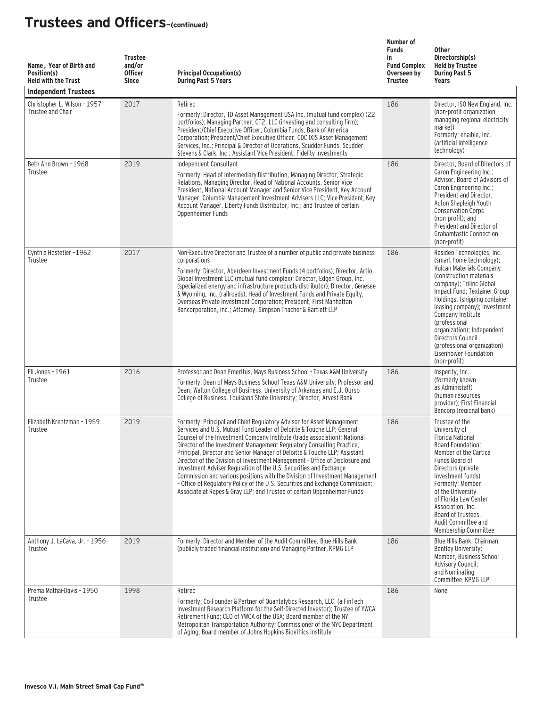| Name, Year of Birth and<br>Position(s)<br><b>Held with the Trust</b><br><b>Independent Trustees</b> | <b>Trustee</b><br>and/or<br><b>Officer</b><br><b>Since</b> | <b>Principal Occupation(s)</b><br><b>During Past 5 Years</b>                                                                                                                                                                                                                                                                                                                                                                                                                                                                                                                                                                                                                                                                                                                        | Number of<br><b>Funds</b><br>in<br><b>Fund Complex</b><br>Overseen by<br><b>Trustee</b> | <b>Other</b><br>Directorship(s)<br><b>Held by Trustee</b><br><b>During Past 5</b><br>Years                                                                                                                                                                                                                                                                                                                   |
|-----------------------------------------------------------------------------------------------------|------------------------------------------------------------|-------------------------------------------------------------------------------------------------------------------------------------------------------------------------------------------------------------------------------------------------------------------------------------------------------------------------------------------------------------------------------------------------------------------------------------------------------------------------------------------------------------------------------------------------------------------------------------------------------------------------------------------------------------------------------------------------------------------------------------------------------------------------------------|-----------------------------------------------------------------------------------------|--------------------------------------------------------------------------------------------------------------------------------------------------------------------------------------------------------------------------------------------------------------------------------------------------------------------------------------------------------------------------------------------------------------|
| Christopher L. Wilson - 1957<br>Trustee and Chair                                                   | 2017                                                       | Retired<br>Formerly: Director, TD Asset Management USA Inc. (mutual fund complex) (22<br>portfolios); Managing Partner, CT2, LLC (investing and consulting firm);<br>President/Chief Executive Officer, Columbia Funds, Bank of America<br>Corporation; President/Chief Executive Officer, CDC IXIS Asset Management<br>Services, Inc.; Principal & Director of Operations, Scudder Funds, Scudder,<br>Stevens & Clark, Inc.; Assistant Vice President, Fidelity Investments                                                                                                                                                                                                                                                                                                        | 186                                                                                     | Director, ISO New England, Inc.<br>(non-profit organization<br>managing regional electricity<br>market)<br>Formerly: enaible, Inc.<br>(artificial intelligence<br>technology)                                                                                                                                                                                                                                |
| Beth Ann Brown - 1968<br>Trustee                                                                    | 2019                                                       | Independent Consultant<br>Formerly: Head of Intermediary Distribution, Managing Director, Strategic<br>Relations, Managing Director, Head of National Accounts, Senior Vice<br>President, National Account Manager and Senior Vice President, Key Account<br>Manager, Columbia Management Investment Advisers LLC; Vice President, Key<br>Account Manager, Liberty Funds Distributor, Inc.; and Trustee of certain<br>Oppenheimer Funds                                                                                                                                                                                                                                                                                                                                             | 186                                                                                     | Director, Board of Directors of<br>Caron Engineering Inc.;<br>Advisor, Board of Advisors of<br>Caron Engineering Inc.;<br>President and Director,<br>Acton Shapleigh Youth<br><b>Conservation Corps</b><br>(non-profit); and<br>President and Director of<br><b>Grahamtastic Connection</b><br>(non-profit)                                                                                                  |
| Cynthia Hostetler-1962<br>Trustee                                                                   | 2017                                                       | Non-Executive Director and Trustee of a number of public and private business<br>corporations<br>Formerly: Director, Aberdeen Investment Funds (4 portfolios); Director, Artio<br>Global Investment LLC (mutual fund complex); Director, Edgen Group, Inc.<br>(specialized energy and infrastructure products distributor); Director, Genesee<br>& Wyoming, Inc. (railroads); Head of Investment Funds and Private Equity,<br>Overseas Private Investment Corporation; President, First Manhattan<br>Bancorporation, Inc.; Attorney, Simpson Thacher & Bartlett LLP                                                                                                                                                                                                                 | 186                                                                                     | Resideo Technologies, Inc.<br>(smart home technology);<br>Vulcan Materials Company<br>(construction materials)<br>company); Trilinc Global<br>Impact Fund; Textainer Group<br>Holdings, (shipping container<br>leasing company); Investment<br>Company Institute<br>(professional<br>organization); Independent<br>Directors Council<br>(professional organization)<br>Eisenhower Foundation<br>(non-profit) |
| Eli Jones - 1961<br>Trustee                                                                         | 2016                                                       | Professor and Dean Emeritus, Mays Business School - Texas A&M University<br>Formerly: Dean of Mays Business School-Texas A&M University; Professor and<br>Dean, Walton College of Business, University of Arkansas and E.J. Ourso<br>College of Business, Louisiana State University; Director, Arvest Bank                                                                                                                                                                                                                                                                                                                                                                                                                                                                         | 186                                                                                     | Insperity, Inc.<br>(formerly known)<br>as Administaff)<br>(human resources<br>provider): First Financial<br>Bancorp (regional bank)                                                                                                                                                                                                                                                                          |
| Elizabeth Krentzman - 1959<br>Trustee                                                               | 2019                                                       | Formerly: Principal and Chief Regulatory Advisor for Asset Management<br>Services and U.S. Mutual Fund Leader of Deloitte & Touche LLP: General<br>Counsel of the Investment Company Institute (trade association); National<br>Director of the Investment Management Regulatory Consulting Practice,<br>Principal, Director and Senior Manager of Deloitte & Touche LLP; Assistant<br>Director of the Division of Investment Management - Office of Disclosure and<br>Investment Adviser Regulation of the U.S. Securities and Exchange<br>Commission and various positions with the Division of Investment Management<br>- Office of Regulatory Policy of the U.S. Securities and Exchange Commission;<br>Associate at Ropes & Gray LLP; and Trustee of certain Oppenheimer Funds | 186                                                                                     | Trustee of the<br>University of<br><b>Florida National</b><br>Board Foundation;<br>Member of the Cartica<br>Funds Board of<br>Directors (private<br>investment funds)<br>Formerly: Member<br>of the University<br>of Florida Law Center<br>Association, Inc.<br>Board of Trustees,<br>Audit Committee and<br>Membership Committee                                                                            |
| Anthony J. LaCava, Jr. - 1956<br>Trustee                                                            | 2019                                                       | Formerly: Director and Member of the Audit Committee, Blue Hills Bank<br>(publicly traded financial institution) and Managing Partner, KPMG LLP                                                                                                                                                                                                                                                                                                                                                                                                                                                                                                                                                                                                                                     | 186                                                                                     | Blue Hills Bank; Chairman,<br>Bentley University;<br>Member, Business School<br><b>Advisory Council;</b><br>and Nominating<br>Committee, KPMG LLP                                                                                                                                                                                                                                                            |
| Prema Mathai-Davis - 1950<br>Trustee                                                                | 1998                                                       | Retired<br>Formerly: Co-Founder & Partner of Quantalytics Research, LLC, (a FinTech<br>Investment Research Platform for the Self-Directed Investor); Trustee of YWCA<br>Retirement Fund; CEO of YWCA of the USA; Board member of the NY<br>Metropolitan Transportation Authority; Commissioner of the NYC Department<br>of Aging; Board member of Johns Hopkins Bioethics Institute                                                                                                                                                                                                                                                                                                                                                                                                 | 186                                                                                     | None                                                                                                                                                                                                                                                                                                                                                                                                         |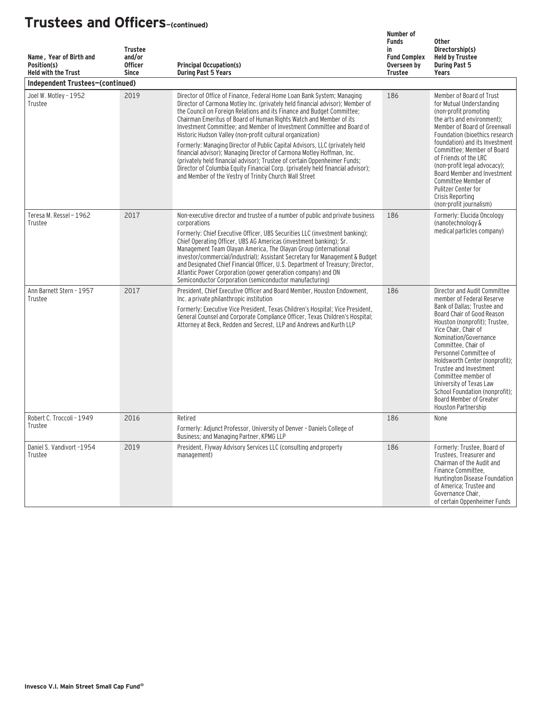| Name, Year of Birth and<br>Position(s)<br><b>Held with the Trust</b> | <b>Trustee</b><br>and/or<br><b>Officer</b><br><b>Since</b> | <b>Principal Occupation(s)</b><br><b>During Past 5 Years</b>                                                                                                                                                                                                                                                                                                                                                                                                                                                                                                                                                                                                                                                                                                                                                                    | Number of<br><b>Funds</b><br>in<br><b>Fund Complex</b><br>Overseen by<br><b>Trustee</b> | <b>Other</b><br>Directorship(s)<br><b>Held by Trustee</b><br><b>During Past 5</b><br><b>Years</b>                                                                                                                                                                                                                                                                                                                                                           |
|----------------------------------------------------------------------|------------------------------------------------------------|---------------------------------------------------------------------------------------------------------------------------------------------------------------------------------------------------------------------------------------------------------------------------------------------------------------------------------------------------------------------------------------------------------------------------------------------------------------------------------------------------------------------------------------------------------------------------------------------------------------------------------------------------------------------------------------------------------------------------------------------------------------------------------------------------------------------------------|-----------------------------------------------------------------------------------------|-------------------------------------------------------------------------------------------------------------------------------------------------------------------------------------------------------------------------------------------------------------------------------------------------------------------------------------------------------------------------------------------------------------------------------------------------------------|
| Independent Trustees-(continued)                                     |                                                            |                                                                                                                                                                                                                                                                                                                                                                                                                                                                                                                                                                                                                                                                                                                                                                                                                                 |                                                                                         |                                                                                                                                                                                                                                                                                                                                                                                                                                                             |
| Joel W. Motley - 1952<br>Trustee                                     | 2019                                                       | Director of Office of Finance, Federal Home Loan Bank System; Managing<br>Director of Carmona Motley Inc. (privately held financial advisor); Member of<br>the Council on Foreign Relations and its Finance and Budget Committee;<br>Chairman Emeritus of Board of Human Rights Watch and Member of its<br>Investment Committee; and Member of Investment Committee and Board of<br>Historic Hudson Valley (non-profit cultural organization)<br>Formerly: Managing Director of Public Capital Advisors, LLC (privately held<br>financial advisor); Managing Director of Carmona Motley Hoffman, Inc.<br>(privately held financial advisor); Trustee of certain Oppenheimer Funds;<br>Director of Columbia Equity Financial Corp. (privately held financial advisor);<br>and Member of the Vestry of Trinity Church Wall Street | 186                                                                                     | Member of Board of Trust<br>for Mutual Understanding<br>(non-profit promoting<br>the arts and environment);<br>Member of Board of Greenwall<br>Foundation (bioethics research<br>foundation) and its Investment<br>Committee: Member of Board<br>of Friends of the LRC<br>(non-profit legal advocacy);<br>Board Member and Investment<br>Committee Member of<br>Pulitzer Center for<br>Crisis Reporting<br>(non-profit journalism)                          |
| Teresa M. Ressel - 1962<br>Trustee                                   | 2017                                                       | Non-executive director and trustee of a number of public and private business<br>corporations<br>Formerly: Chief Executive Officer, UBS Securities LLC (investment banking);<br>Chief Operating Officer, UBS AG Americas (investment banking); Sr.<br>Management Team Olayan America, The Olayan Group (international<br>investor/commercial/industrial); Assistant Secretary for Management & Budget<br>and Designated Chief Financial Officer, U.S. Department of Treasury; Director,<br>Atlantic Power Corporation (power generation company) and ON<br>Semiconductor Corporation (semiconductor manufacturing)                                                                                                                                                                                                              | 186                                                                                     | Formerly: Elucida Oncology<br>(nanotechnology &<br>medical particles company)                                                                                                                                                                                                                                                                                                                                                                               |
| Ann Barnett Stern - 1957<br>Trustee                                  | 2017                                                       | President, Chief Executive Officer and Board Member, Houston Endowment,<br>Inc. a private philanthropic institution<br>Formerly: Executive Vice President, Texas Children's Hospital; Vice President,<br>General Counsel and Corporate Compliance Officer, Texas Children's Hospital;<br>Attorney at Beck, Redden and Secrest, LLP and Andrews and Kurth LLP                                                                                                                                                                                                                                                                                                                                                                                                                                                                    | 186                                                                                     | Director and Audit Committee<br>member of Federal Reserve<br>Bank of Dallas; Trustee and<br>Board Chair of Good Reason<br>Houston (nonprofit); Trustee,<br>Vice Chair, Chair of<br>Nomination/Governance<br>Committee, Chair of<br>Personnel Committee of<br>Holdsworth Center (nonprofit);<br>Trustee and Investment<br>Committee member of<br>University of Texas Law<br>School Foundation (nonprofit):<br>Board Member of Greater<br>Houston Partnership |
| Robert C. Troccoli - 1949<br>Trustee                                 | 2016                                                       | Retired<br>Formerly: Adjunct Professor, University of Denver - Daniels College of<br>Business; and Managing Partner, KPMG LLP                                                                                                                                                                                                                                                                                                                                                                                                                                                                                                                                                                                                                                                                                                   | 186                                                                                     | None                                                                                                                                                                                                                                                                                                                                                                                                                                                        |
| Daniel S. Vandivort -1954<br>Trustee                                 | 2019                                                       | President, Flyway Advisory Services LLC (consulting and property<br>management)                                                                                                                                                                                                                                                                                                                                                                                                                                                                                                                                                                                                                                                                                                                                                 | 186                                                                                     | Formerly: Trustee, Board of<br>Trustees, Treasurer and<br>Chairman of the Audit and<br>Finance Committee,<br>Huntington Disease Foundation<br>of America; Trustee and<br>Governance Chair,<br>of certain Oppenheimer Funds                                                                                                                                                                                                                                  |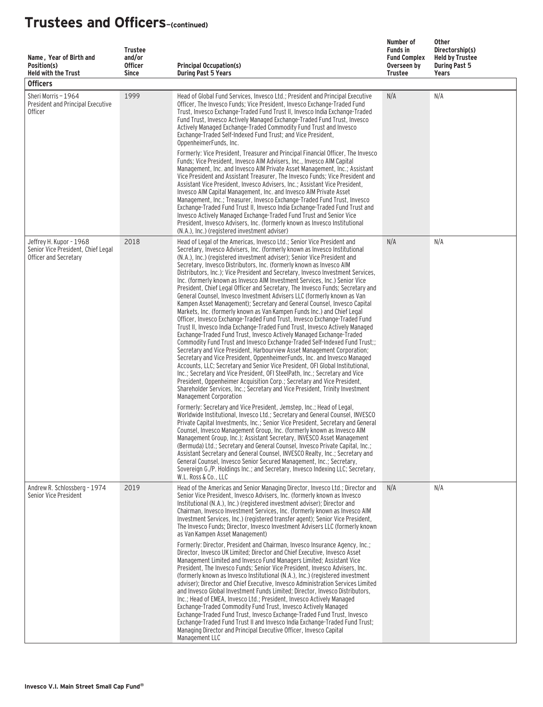| Name, Year of Birth and<br>Position(s)<br><b>Held with the Trust</b><br><b>Officers</b> | <b>Trustee</b><br>and/or<br><b>Officer</b><br><b>Since</b> | <b>Principal Occupation(s)</b><br><b>During Past 5 Years</b>                                                                                                                                                                                                                                                                                                                                                                                                                                                                                                                                                                                                                                                                                                                                                                                                                                                                                                                                                                                                                                                                                                                                                                                                                                                                                                                                                                                                                                                                                                                                                                 | Number of<br><b>Funds in</b><br><b>Fund Complex</b><br>Overseen by<br>Trustee | Other<br>Directorship(s)<br><b>Held by Trustee</b><br><b>During Past 5</b><br>Years |
|-----------------------------------------------------------------------------------------|------------------------------------------------------------|------------------------------------------------------------------------------------------------------------------------------------------------------------------------------------------------------------------------------------------------------------------------------------------------------------------------------------------------------------------------------------------------------------------------------------------------------------------------------------------------------------------------------------------------------------------------------------------------------------------------------------------------------------------------------------------------------------------------------------------------------------------------------------------------------------------------------------------------------------------------------------------------------------------------------------------------------------------------------------------------------------------------------------------------------------------------------------------------------------------------------------------------------------------------------------------------------------------------------------------------------------------------------------------------------------------------------------------------------------------------------------------------------------------------------------------------------------------------------------------------------------------------------------------------------------------------------------------------------------------------------|-------------------------------------------------------------------------------|-------------------------------------------------------------------------------------|
| Sheri Morris - 1964<br>President and Principal Executive<br><b>Officer</b>              | 1999                                                       | Head of Global Fund Services, Invesco Ltd.; President and Principal Executive<br>Officer, The Invesco Funds; Vice President, Invesco Exchange-Traded Fund<br>Trust, Invesco Exchange-Traded Fund Trust II, Invesco India Exchange-Traded<br>Fund Trust, Invesco Actively Managed Exchange-Traded Fund Trust, Invesco<br>Actively Managed Exchange-Traded Commodity Fund Trust and Invesco<br>Exchange-Traded Self-Indexed Fund Trust: and Vice President.<br>OppenheimerFunds, Inc.<br>Formerly: Vice President, Treasurer and Principal Financial Officer, The Invesco<br>Funds; Vice President, Invesco AIM Advisers, Inc., Invesco AIM Capital<br>Management, Inc. and Invesco AIM Private Asset Management, Inc.; Assistant<br>Vice President and Assistant Treasurer, The Invesco Funds; Vice President and<br>Assistant Vice President, Invesco Advisers, Inc.; Assistant Vice President,<br>Invesco AIM Capital Management, Inc. and Invesco AIM Private Asset<br>Management, Inc.; Treasurer, Invesco Exchange-Traded Fund Trust, Invesco<br>Exchange-Traded Fund Trust II, Invesco India Exchange-Traded Fund Trust and<br>Invesco Actively Managed Exchange-Traded Fund Trust and Senior Vice<br>President, Invesco Advisers, Inc. (formerly known as Invesco Institutional<br>(N.A.), Inc.) (registered investment adviser)                                                                                                                                                                                                                                                                                       | N/A                                                                           | N/A                                                                                 |
| Jeffrey H. Kupor - 1968<br>Senior Vice President, Chief Legal<br>Officer and Secretary  | 2018                                                       | Head of Legal of the Americas, Invesco Ltd.; Senior Vice President and<br>Secretary, Invesco Advisers, Inc. (formerly known as Invesco Institutional<br>(N.A.), Inc.) (registered investment adviser); Senior Vice President and<br>Secretary, Invesco Distributors, Inc. (formerly known as Invesco AIM<br>Distributors, Inc.); Vice President and Secretary, Invesco Investment Services,<br>Inc. (formerly known as Invesco AIM Investment Services, Inc.) Senior Vice<br>President, Chief Legal Officer and Secretary, The Invesco Funds; Secretary and<br>General Counsel, Invesco Investment Advisers LLC (formerly known as Van<br>Kampen Asset Management); Secretary and General Counsel, Invesco Capital<br>Markets, Inc. (formerly known as Van Kampen Funds Inc.) and Chief Legal<br>Officer, Invesco Exchange-Traded Fund Trust, Invesco Exchange-Traded Fund<br>Trust II, Invesco India Exchange-Traded Fund Trust, Invesco Actively Managed<br>Exchange-Traded Fund Trust, Invesco Actively Managed Exchange-Traded<br>Commodity Fund Trust and Invesco Exchange-Traded Self-Indexed Fund Trust;;<br>Secretary and Vice President, Harbourview Asset Management Corporation;<br>Secretary and Vice President, OppenheimerFunds, Inc. and Invesco Managed<br>Accounts, LLC; Secretary and Senior Vice President, OFI Global Institutional,<br>Inc.; Secretary and Vice President, OFI SteelPath, Inc.; Secretary and Vice<br>President, Oppenheimer Acquisition Corp.; Secretary and Vice President,<br>Shareholder Services, Inc.; Secretary and Vice President, Trinity Investment<br>Management Corporation | N/A                                                                           | N/A                                                                                 |
|                                                                                         |                                                            | Formerly: Secretary and Vice President, Jemstep, Inc.; Head of Legal,<br>Worldwide Institutional, Invesco Ltd.; Secretary and General Counsel, INVESCO<br>Private Capital Investments, Inc.; Senior Vice President, Secretary and General<br>Counsel, Invesco Management Group, Inc. (formerly known as Invesco AIM<br>Management Group, Inc.); Assistant Secretary, INVESCO Asset Management<br>(Bermuda) Ltd.; Secretary and General Counsel, Invesco Private Capital, Inc.;<br>Assistant Secretary and General Counsel, INVESCO Realty, Inc.; Secretary and<br>General Counsel, Invesco Senior Secured Management, Inc.; Secretary,<br>Sovereign G./P. Holdings Inc.; and Secretary, Invesco Indexing LLC; Secretary,<br>W.L. Ross & Co., LLC                                                                                                                                                                                                                                                                                                                                                                                                                                                                                                                                                                                                                                                                                                                                                                                                                                                                             |                                                                               |                                                                                     |
| Andrew R. Schlossberg - 1974<br>Senior Vice President                                   | 2019                                                       | Head of the Americas and Senior Managing Director, Invesco Ltd.; Director and<br>Senior Vice President, Invesco Advisers, Inc. (formerly known as Invesco<br>Institutional (N.A.), Inc.) (registered investment adviser); Director and<br>Chairman, Invesco Investment Services, Inc. (formerly known as Invesco AIM<br>Investment Services, Inc.) (registered transfer agent); Senior Vice President,<br>The Invesco Funds: Director, Invesco Investment Advisers LLC (formerly known<br>as Van Kampen Asset Management)<br>Formerly: Director, President and Chairman, Invesco Insurance Agency, Inc.:<br>Director, Invesco UK Limited; Director and Chief Executive, Invesco Asset<br>Management Limited and Invesco Fund Managers Limited; Assistant Vice<br>President, The Invesco Funds; Senior Vice President, Invesco Advisers, Inc.<br>(formerly known as Invesco Institutional (N.A.), Inc.) (registered investment<br>adviser); Director and Chief Executive, Invesco Administration Services Limited<br>and Invesco Global Investment Funds Limited; Director, Invesco Distributors,<br>Inc.; Head of EMEA, Invesco Ltd.; President, Invesco Actively Managed<br>Exchange-Traded Commodity Fund Trust, Invesco Actively Managed<br>Exchange-Traded Fund Trust, Invesco Exchange-Traded Fund Trust, Invesco<br>Exchange-Traded Fund Trust II and Invesco India Exchange-Traded Fund Trust;<br>Managing Director and Principal Executive Officer, Invesco Capital                                                                                                                                                  | N/A                                                                           | N/A                                                                                 |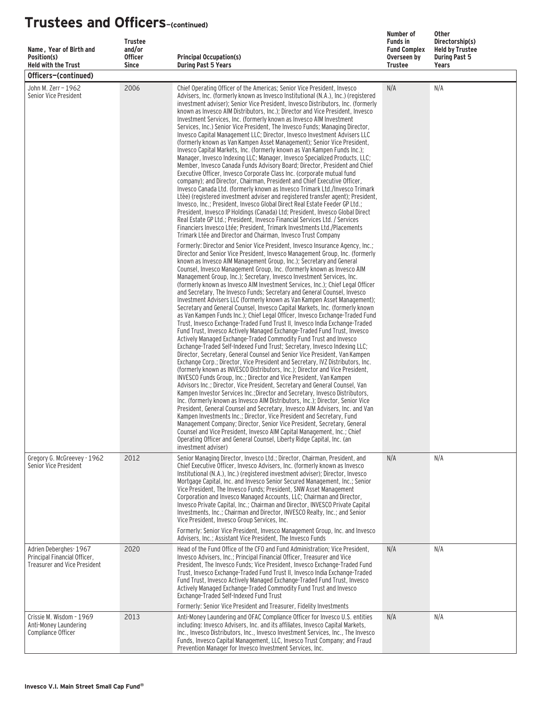| Name, Year of Birth and<br>Position(s)<br><b>Held with the Trust</b>                         | <b>Trustee</b><br>and/or<br><b>Officer</b><br><b>Since</b> | <b>Principal Occupation(s)</b><br><b>During Past 5 Years</b>                                                                                                                                                                                                                                                                                                                                                                                                                                                                                                                                                                                                                                                                                                                                                                                                                                                                                                                                                                                                                                                                                                                                                                                                                                                                                                                                                                                                                                                                                                                                                                                                                                                                                                                                                                                                                                                                                                                                                                                                                                          | Number of<br><b>Funds in</b><br><b>Fund Complex</b><br>Overseen by<br><b>Trustee</b> | <b>Other</b><br>Directorship(s)<br><b>Held by Trustee</b><br><b>During Past 5</b><br>Years |
|----------------------------------------------------------------------------------------------|------------------------------------------------------------|-------------------------------------------------------------------------------------------------------------------------------------------------------------------------------------------------------------------------------------------------------------------------------------------------------------------------------------------------------------------------------------------------------------------------------------------------------------------------------------------------------------------------------------------------------------------------------------------------------------------------------------------------------------------------------------------------------------------------------------------------------------------------------------------------------------------------------------------------------------------------------------------------------------------------------------------------------------------------------------------------------------------------------------------------------------------------------------------------------------------------------------------------------------------------------------------------------------------------------------------------------------------------------------------------------------------------------------------------------------------------------------------------------------------------------------------------------------------------------------------------------------------------------------------------------------------------------------------------------------------------------------------------------------------------------------------------------------------------------------------------------------------------------------------------------------------------------------------------------------------------------------------------------------------------------------------------------------------------------------------------------------------------------------------------------------------------------------------------------|--------------------------------------------------------------------------------------|--------------------------------------------------------------------------------------------|
| Officers-(continued)                                                                         |                                                            |                                                                                                                                                                                                                                                                                                                                                                                                                                                                                                                                                                                                                                                                                                                                                                                                                                                                                                                                                                                                                                                                                                                                                                                                                                                                                                                                                                                                                                                                                                                                                                                                                                                                                                                                                                                                                                                                                                                                                                                                                                                                                                       |                                                                                      |                                                                                            |
| John M. Zerr - 1962<br>Senior Vice President                                                 | 2006                                                       | Chief Operating Officer of the Americas; Senior Vice President, Invesco<br>Advisers, Inc. (formerly known as Invesco Institutional (N.A.), Inc.) (registered<br>investment adviser); Senior Vice President, Invesco Distributors, Inc. (formerly<br>known as Invesco AIM Distributors, Inc.); Director and Vice President, Invesco<br>Investment Services, Inc. (formerly known as Invesco AIM Investment<br>Services, Inc.) Senior Vice President, The Invesco Funds; Managing Director,<br>Invesco Capital Management LLC; Director, Invesco Investment Advisers LLC<br>(formerly known as Van Kampen Asset Management); Senior Vice President,<br>Invesco Capital Markets, Inc. (formerly known as Van Kampen Funds Inc.);<br>Manager, Invesco Indexing LLC; Manager, Invesco Specialized Products, LLC;<br>Member, Invesco Canada Funds Advisory Board; Director, President and Chief<br>Executive Officer, Invesco Corporate Class Inc. (corporate mutual fund<br>company); and Director, Chairman, President and Chief Executive Officer,<br>Invesco Canada Ltd. (formerly known as Invesco Trimark Ltd./Invesco Trimark<br>Ltèe) (registered investment adviser and registered transfer agent); President,<br>Invesco, Inc.; President, Invesco Global Direct Real Estate Feeder GP Ltd.;<br>President, Invesco IP Holdings (Canada) Ltd: President, Invesco Global Direct<br>Real Estate GP Ltd.; President, Invesco Financial Services Ltd. / Services<br>Financiers Invesco Ltée: President, Trimark Investments Ltd./Placements<br>Trimark Ltée and Director and Chairman, Invesco Trust Company                                                                                                                                                                                                                                                                                                                                                                                                                                                                                           | N/A                                                                                  | N/A                                                                                        |
|                                                                                              |                                                            | Formerly: Director and Senior Vice President, Invesco Insurance Agency, Inc.;<br>Director and Senior Vice President, Invesco Management Group, Inc. (formerly<br>known as Invesco AIM Management Group, Inc.); Secretary and General<br>Counsel, Invesco Management Group, Inc. (formerly known as Invesco AIM<br>Management Group, Inc.); Secretary, Invesco Investment Services, Inc.<br>(formerly known as Invesco AIM Investment Services, Inc.); Chief Legal Officer<br>and Secretary, The Invesco Funds; Secretary and General Counsel, Invesco<br>Investment Advisers LLC (formerly known as Van Kampen Asset Management);<br>Secretary and General Counsel, Invesco Capital Markets, Inc. (formerly known<br>as Van Kampen Funds Inc.); Chief Legal Officer, Invesco Exchange-Traded Fund<br>Trust, Invesco Exchange-Traded Fund Trust II, Invesco India Exchange-Traded<br>Fund Trust, Invesco Actively Managed Exchange-Traded Fund Trust, Invesco<br>Actively Managed Exchange-Traded Commodity Fund Trust and Invesco<br>Exchange-Traded Self-Indexed Fund Trust; Secretary, Invesco Indexing LLC;<br>Director, Secretary, General Counsel and Senior Vice President, Van Kampen<br>Exchange Corp.; Director, Vice President and Secretary, IVZ Distributors, Inc.<br>(formerly known as INVESCO Distributors, Inc.); Director and Vice President,<br>INVESCO Funds Group, Inc.; Director and Vice President, Van Kampen<br>Advisors Inc.; Director, Vice President, Secretary and General Counsel, Van<br>Kampen Investor Services Inc.: Director and Secretary, Invesco Distributors.<br>Inc. (formerly known as Invesco AIM Distributors, Inc.); Director, Senior Vice<br>President, General Counsel and Secretary, Invesco AIM Advisers, Inc. and Van<br>Kampen Investments Inc.; Director, Vice President and Secretary, Fund<br>Management Company; Director, Senior Vice President, Secretary, General<br>Counsel and Vice President, Invesco AIM Capital Management, Inc.; Chief<br>Operating Officer and General Counsel, Liberty Ridge Capital, Inc. (an<br>investment adviser) |                                                                                      |                                                                                            |
| Gregory G. McGreevey - 1962<br>Senior Vice President                                         | 2012                                                       | Senior Managing Director, Invesco Ltd.; Director, Chairman, President, and<br>Chief Executive Officer, Invesco Advisers, Inc. (formerly known as Invesco<br>Institutional (N.A.), Inc.) (registered investment adviser); Director, Invesco<br>Mortgage Capital, Inc. and Invesco Senior Secured Management, Inc.; Senior<br>Vice President, The Invesco Funds; President, SNW Asset Management<br>Corporation and Invesco Managed Accounts, LLC; Chairman and Director,<br>Invesco Private Capital, Inc.; Chairman and Director, INVESCO Private Capital<br>Investments, Inc.; Chairman and Director, INVESCO Realty, Inc.; and Senior<br>Vice President, Invesco Group Services, Inc.<br>Formerly: Senior Vice President, Invesco Management Group, Inc. and Invesco                                                                                                                                                                                                                                                                                                                                                                                                                                                                                                                                                                                                                                                                                                                                                                                                                                                                                                                                                                                                                                                                                                                                                                                                                                                                                                                                 | N/A                                                                                  | N/A                                                                                        |
| Adrien Deberghes-1967<br>Principal Financial Officer,<br><b>Treasurer and Vice President</b> | 2020                                                       | Advisers, Inc.; Assistant Vice President, The Invesco Funds<br>Head of the Fund Office of the CFO and Fund Administration; Vice President,<br>Invesco Advisers, Inc.; Principal Financial Officer, Treasurer and Vice<br>President, The Invesco Funds; Vice President, Invesco Exchange-Traded Fund<br>Trust, Invesco Exchange-Traded Fund Trust II, Invesco India Exchange-Traded<br>Fund Trust, Invesco Actively Managed Exchange-Traded Fund Trust, Invesco<br>Actively Managed Exchange-Traded Commodity Fund Trust and Invesco<br>Exchange-Traded Self-Indexed Fund Trust<br>Formerly: Senior Vice President and Treasurer, Fidelity Investments                                                                                                                                                                                                                                                                                                                                                                                                                                                                                                                                                                                                                                                                                                                                                                                                                                                                                                                                                                                                                                                                                                                                                                                                                                                                                                                                                                                                                                                 | N/A                                                                                  | N/A                                                                                        |
| Crissie M. Wisdom - 1969<br>Anti-Money Laundering<br>Compliance Officer                      | 2013                                                       | Anti-Money Laundering and OFAC Compliance Officer for Invesco U.S. entities<br>including: Invesco Advisers, Inc. and its affiliates, Invesco Capital Markets,<br>Inc., Invesco Distributors, Inc., Invesco Investment Services, Inc., The Invesco<br>Funds, Invesco Capital Management, LLC, Invesco Trust Company; and Fraud<br>Prevention Manager for Invesco Investment Services, Inc.                                                                                                                                                                                                                                                                                                                                                                                                                                                                                                                                                                                                                                                                                                                                                                                                                                                                                                                                                                                                                                                                                                                                                                                                                                                                                                                                                                                                                                                                                                                                                                                                                                                                                                             | N/A                                                                                  | N/A                                                                                        |